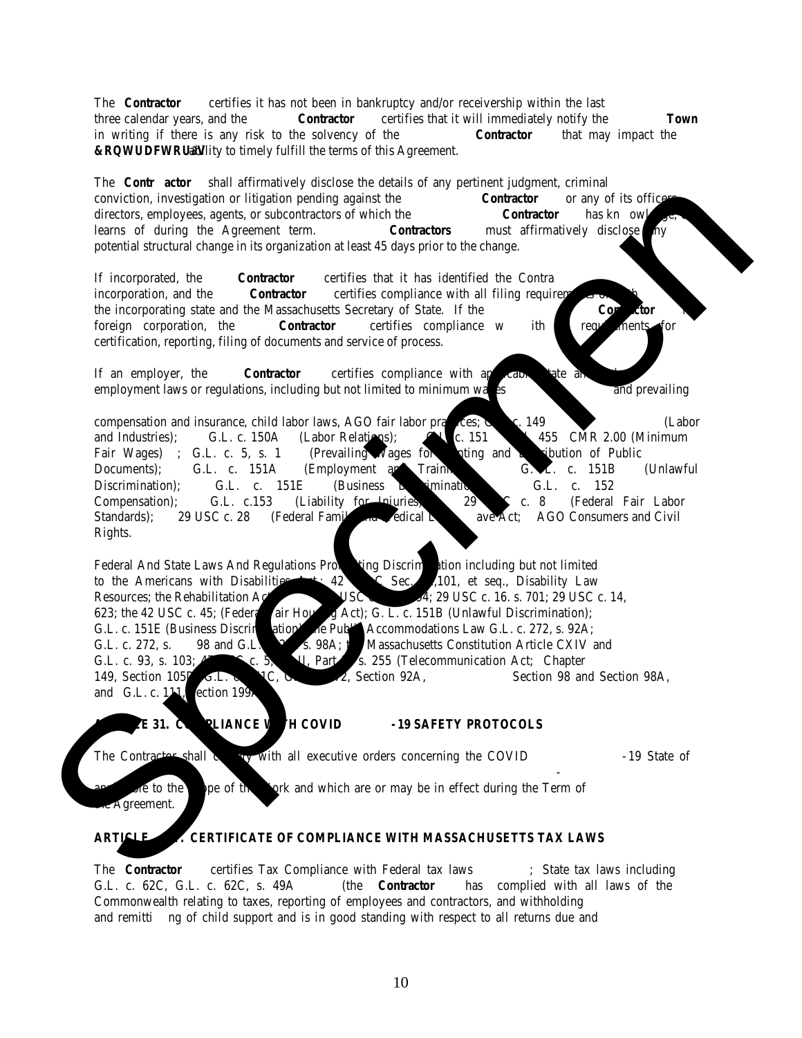## Town Manager Needham Town Hall 1471 Highland Avenue Needham, Massachusetts 02492 Telephone 781-455-7500

## **Acknowledgement of Receipt**

| <b>Release Date</b>          | Thursday, May 5, 2022                                                                                                               |  |
|------------------------------|-------------------------------------------------------------------------------------------------------------------------------------|--|
| <b>Bid Title</b>             | Jackets, Work Shirts, and Other Clothing Items                                                                                      |  |
| <b>Bid Number</b>            | <b>23NEE005G</b>                                                                                                                    |  |
| <b>Number of Documents</b>   | The Bid Package consists of one (1) PDF document.                                                                                   |  |
| <b>Informational Session</b> | <b>None</b>                                                                                                                         |  |
| <b>Ouestions Due</b>         | 12:00 p.m., Tuesday, May 17, 2022                                                                                                   |  |
| <b>Bids</b> Due              | 1:00 p.m. Tuesday, May 24, 2022 to Kate Fitzpatrick, Town Manager, Town<br>Hall, 1471 Highland Avenue, Needham, Massachusetts 02492 |  |

Please provide the requested information below as acknowledgment that you have received our bid package noted above and your intention is to submit a bid. It is recommended that interested bidders complete this acknowledgment and return via email to [pcentral@needhamma.gov.](mailto:pcentral@needhamma.gov) Only by doing this, will the Town be able to provide notification of addenda\* or answered questions relating to this Bid. Only those companies or individuals shown on the Distribution Register will be sent addenda to this Bid and whose written questions will be addressed. By completing and returning this acknowledgement will ensure you are recorded on the Distribution Register. Bids from companies or individuals not acknowledging the addenda may be rejected as not responsive.

| Name of Company or Individual (Print) |  |
|---------------------------------------|--|
| Name / Title of Contact (Print)       |  |
| Address (line 1) (Print)              |  |
| Address (line 2) (Print)              |  |
| <b>Telephone Number</b>               |  |
| <b>Fax Number</b>                     |  |
| E-mail Address (Print)                |  |
| Signature                             |  |
| Date                                  |  |

**\* Addenda will be posted to the website.** Please check the website for addenda before submitting your bid to the Town. Bidders who access the bid package from the Town's website are responsible for checking the website periodically for any addenda that may be issued by the Town.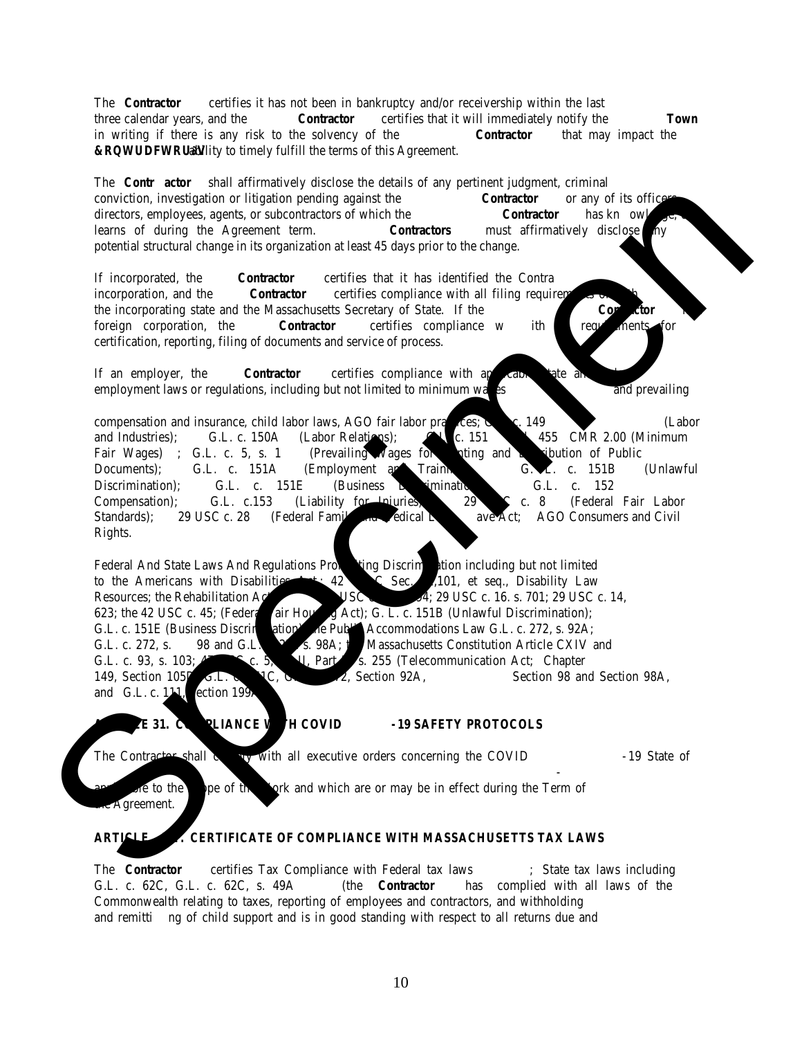*Intentionally Blank*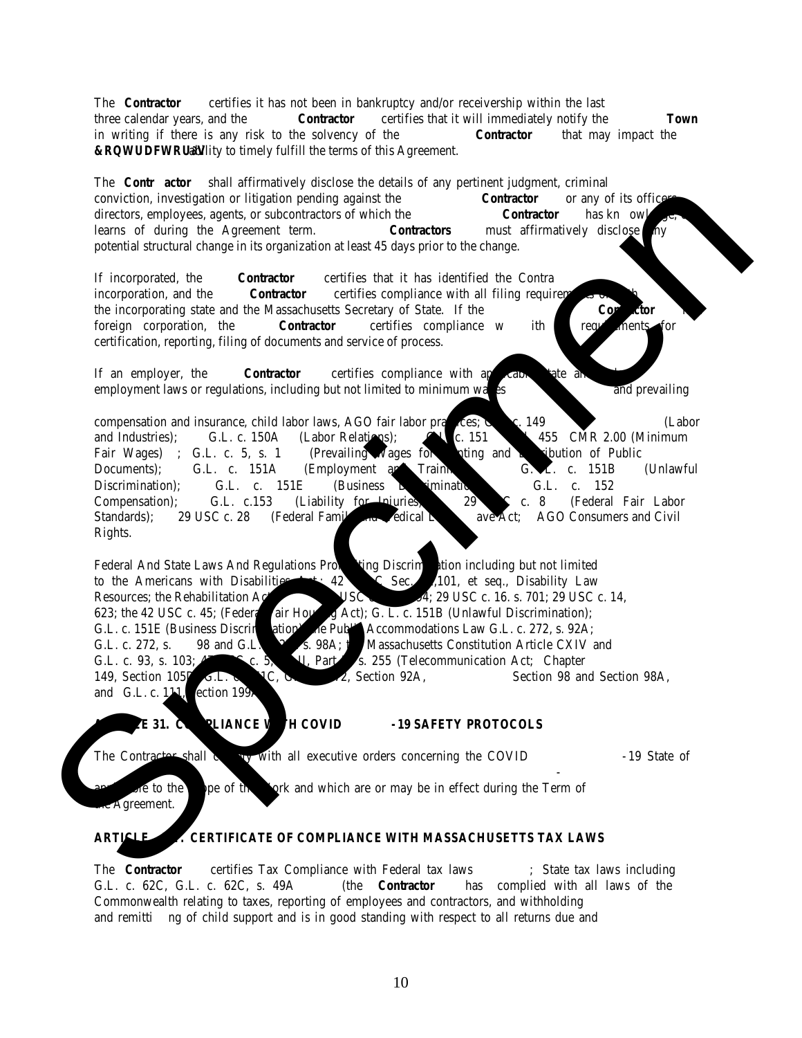(Advertised in the Hometown Weekly issue of Thursday, May 5, 2022) (Advertised in Goods and Services Monday, May 9, 2022) (Advertised in COMMBUYS Monday, May 9, 2022)

## LEGAL NOTICE

**Town of Needham Invitation for Bid** Jackets, Work Shirts, and Other Clothing Items **23NEE005G**

The Town of Needham is accepting sealed bids for Jackets, Work Shirts, and Other Clothing Items. Copies of the Invitation for Bid (IFB) will be available beginning Thursday, May 5, 2022 online at the Town's web site www.needhamma.gov/bids.aspx or by calling the Town Manager's Office 781-455-7500 between the hours of 9:00 a.m. – 4:00 p.m. Monday - Friday, and will be available until submission deadline. Sealed bids must be submitted **no later than 1:00 p.m. Tuesday, May 24, 2022** to Kate Fitzpatrick, Town Manager, Town of Needham, Town Hall, 1471 Highland Avenue, Needham, MA 02492. LATE BIDS WILL NOT BE CONSIDERED. Bids will be publicly opened after submission deadline at 1:05 p.m. The Town reserves the right to reject any and all bids as determined to be in the best interests of the Town and to waive minor informalities.

Kate Fitzpatrick Town Manager May 5, 2022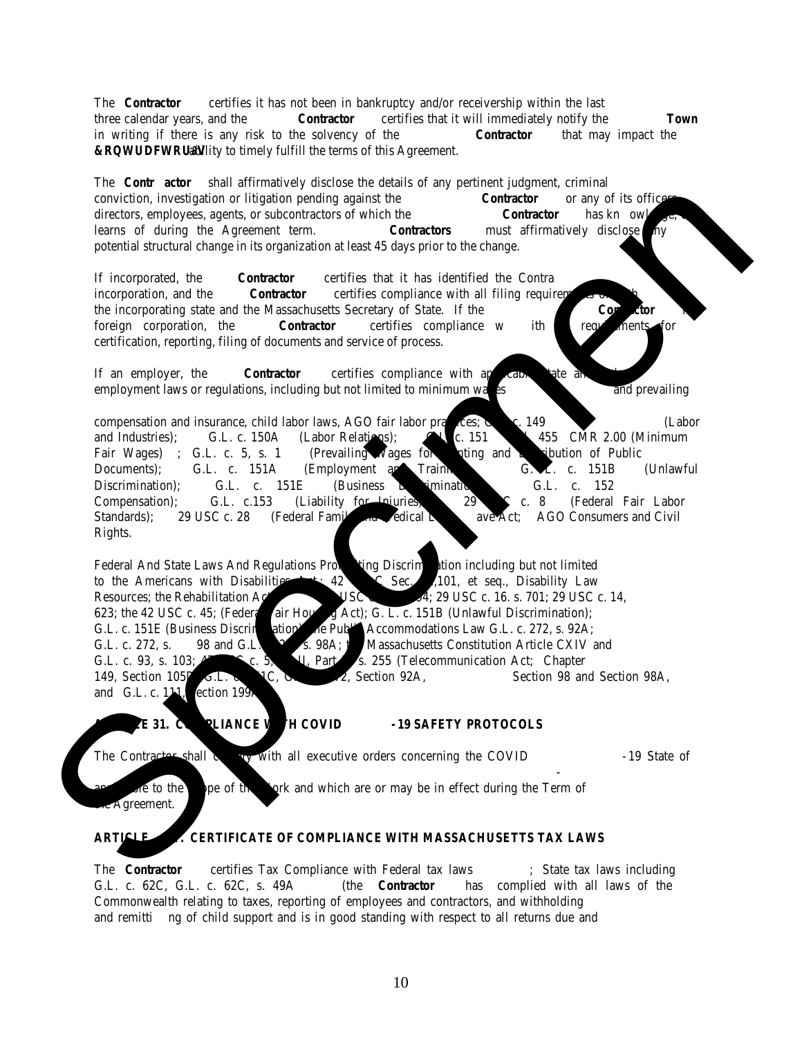## **ABOUT NEEDHAM**

The Town of Needham is located in Norfolk County, 10 miles southwest of Boston. It is bordered on the west and northwest by the Town of Wellesley, on the north and northeast by the City of Newton, on the east by the West Roxbury section of the City of Boston, on the southeast by the Town of Dedham, and on the south by the Towns of Westwood and Dover. Needham has an estimated population of 31,000 and occupies a land area of approximately 12.75 square miles. Established as a town in 1711, Needham is governed by a representative form of town meeting and a five member Select Board. The day-to-day management is under the direction of a Town Manager. School affairs are administered by a seven-member School Committee and a Superintendent of Schools. The Town is classified as an economically developed suburb with above average wealth levels and higher education attainment. The Town has an "AAA" credit rating from Standard and Poor's.

The Town provides a full range of governmental services including police and fire protection; emergency medical services; collection, disposal, and recycling of solid waste; sewers; streets; water services; health and human services; town library; and recreation. The Town also provides public education in grades kindergarten through twelve. The Town operates 1 pre-school, 5 elementary schools  $(K - 5)$ , 1 sixth-grade center, 1 middle school  $(7 - 8)$ , and a senior high school  $(9 - 12)$ . Technical education is offered to grades nine through twelve by the Minuteman Regional Vocational Technical School District. The total expenditures in the most recent fiscal year exceeded \$200 million.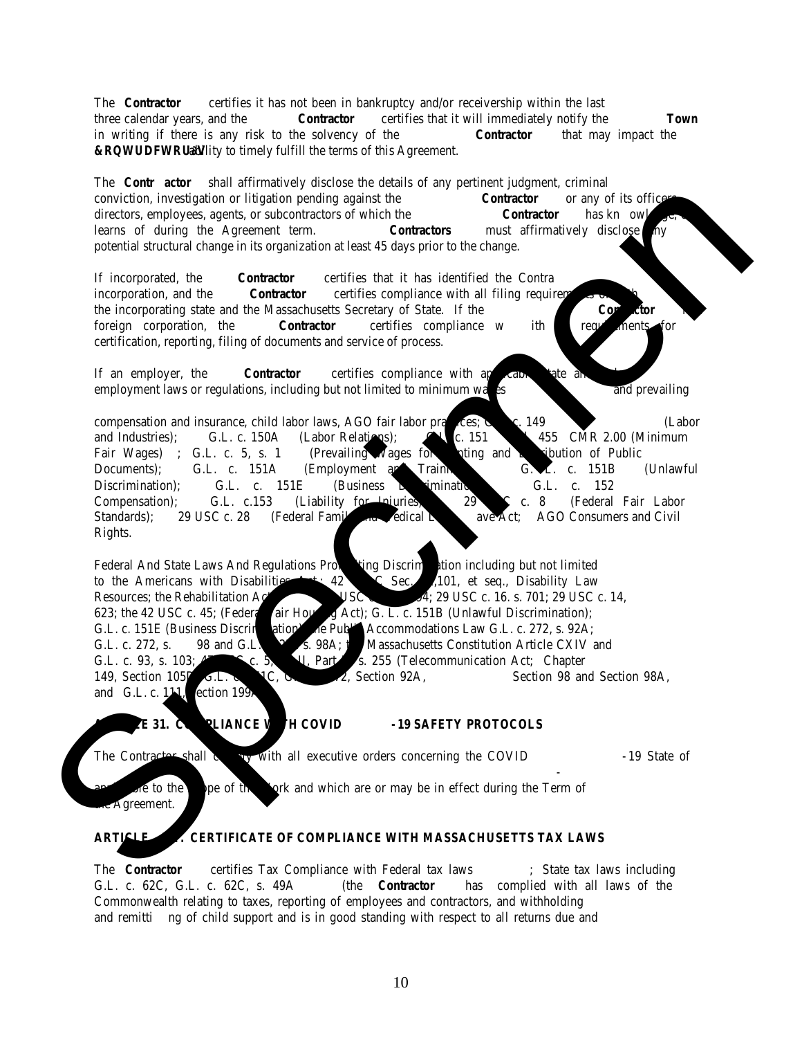## Jackets, Work Shirts, and Other Clothing Items INDEX

|            | Description                                                                 | Page                    |
|------------|-----------------------------------------------------------------------------|-------------------------|
|            | Acknowledgement of Receipt                                                  | 1                       |
|            | Legal Notice                                                                | $\overline{\mathbf{3}}$ |
|            | <b>About Needham</b>                                                        | $\overline{4}$          |
|            | Index                                                                       | $\overline{5}$          |
|            | Procurement In Brief                                                        | $\overline{7}$          |
| Part 1     | General Information                                                         |                         |
| 1.01       | Quantities                                                                  | 9                       |
| 1.02       | Questions regarding the Bid                                                 | $\overline{9}$          |
| 1.03       | Information about Changes to the RFP (Addenda)                              | $\overline{9}$          |
| 1.04       | Bonds, Insurance, and Indemnification                                       | $\overline{9}$          |
| 1.05       | <b>Execution of the Contract</b>                                            | $\overline{10}$         |
| 1.06       | Payment and Discount Terms, Adjustments for Incomplete or Unacceptable Work | 10                      |
| 1.07       | <b>Bid Modifications or Withdrawals</b>                                     | 10                      |
| 1.08       | Premature Opening of a Bid                                                  | $10\,$                  |
| 1.09       | <b>Unexpected Closure or Delays</b>                                         | $10\,$                  |
| 1.10       | Late Submissions                                                            | 10                      |
| 1.11       | Rejection of Bids                                                           | 11                      |
| 1.12       | Taxes                                                                       | 11                      |
| 1.13       | <b>Public Records</b>                                                       | 11                      |
| 1.14       | Conflict of Interest                                                        | 11                      |
| 1.15       | Tie Bids                                                                    | 11                      |
| 1.16       | Contract Award                                                              | 11                      |
| 1.17       | <b>Other Notices</b>                                                        | 12                      |
| 1.18       | <b>Clarification of Terminology</b>                                         | 12                      |
| Part 2     | Scope of Services/Product Specifications                                    |                         |
| 2.01       | Overview                                                                    | 13                      |
| 2.02       | Details                                                                     | 13                      |
| 2.03       | <b>Quality Requirements</b>                                                 | 15                      |
| Part 3     | <b>Submission Requirements</b>                                              |                         |
| 3.01       | <b>Submission Requirement</b>                                               | 16                      |
| Part 4     | Checklist and Forms for Submission                                          |                         |
|            | Checklist<br>$\bullet$                                                      | 17                      |
|            | Bidder Information Response (3 pages)<br>$\bullet$                          | 18                      |
|            | Certificate of Good Faith<br>$\bullet$                                      | 21                      |
|            | Certificate of Compliance with Massachusetts Tax Laws<br>$\bullet$          | 22                      |
|            | Promise to Execute Contract<br>$\bullet$                                    | 23                      |
|            | <b>Professional References</b>                                              | 24                      |
|            | Certificate of Authority                                                    | 25                      |
|            | Bid Price Form (6 pages)<br>$\bullet$                                       | 26                      |
|            | Non-Submittal Response Form<br>$\bullet$                                    | 30                      |
|            |                                                                             | 32                      |
| Appendix A |                                                                             | 33                      |
|            | <b>Specimen Contract</b>                                                    | After Last Page         |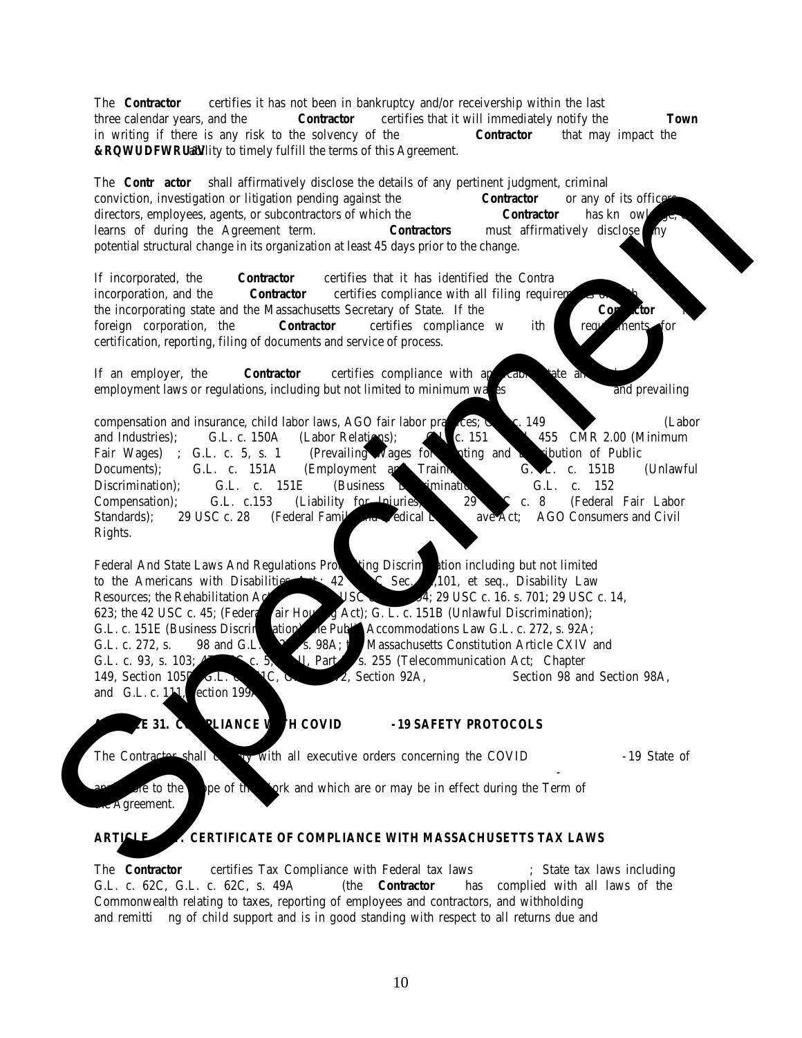*Intentionally Blank*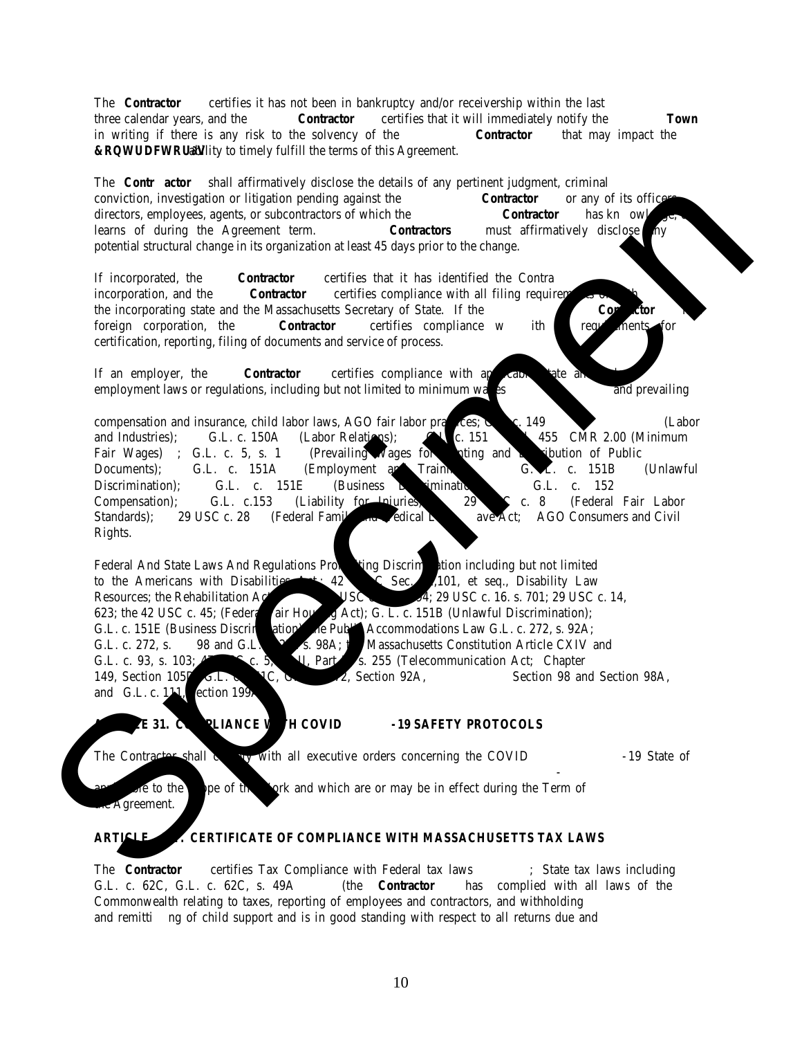| <b>Procurement in Brief</b>                                                                                     |                                                                                                                                                                                                                                                                                                                                                                                                                                                                                                                                                                                                                                                      |  |  |
|-----------------------------------------------------------------------------------------------------------------|------------------------------------------------------------------------------------------------------------------------------------------------------------------------------------------------------------------------------------------------------------------------------------------------------------------------------------------------------------------------------------------------------------------------------------------------------------------------------------------------------------------------------------------------------------------------------------------------------------------------------------------------------|--|--|
| <b>Primary Procurement Contact</b>                                                                              | David Davison, Assistant Town Manager/Director of Finance<br>email: Pcentral@needhamma.gov                                                                                                                                                                                                                                                                                                                                                                                                                                                                                                                                                           |  |  |
| Event                                                                                                           | <b>Details</b>                                                                                                                                                                                                                                                                                                                                                                                                                                                                                                                                                                                                                                       |  |  |
| <b>Bid Title</b>                                                                                                | <b>Jackets, Work Shirts, and Other Clothing Items</b>                                                                                                                                                                                                                                                                                                                                                                                                                                                                                                                                                                                                |  |  |
| <b>Contract Number</b>                                                                                          | <b>23NEE005G</b>                                                                                                                                                                                                                                                                                                                                                                                                                                                                                                                                                                                                                                     |  |  |
| Invitation for Bids (BID)<br>Available                                                                          | Information and details of bidding requirements may be obtained at Office of the Town Manager,<br>Needham Town Hall, 1471 Highland Avenue, Needham, Massachusetts 02492, or on-line at the<br>Town's website http://www.needhamma.gov/bids.aspx                                                                                                                                                                                                                                                                                                                                                                                                      |  |  |
| <b>Informational Session</b>                                                                                    | None                                                                                                                                                                                                                                                                                                                                                                                                                                                                                                                                                                                                                                                 |  |  |
| Written Questions*                                                                                              | Deadline: Tuesday, May 17, 2022 at 12:00 p.m.<br>By Delivery: Office of the Town Manager, Needham Town Hall, 1471 Highland Avenue, Needham,<br>Massachusetts 02492<br>By Email: Pcentral@needhamma.gov                                                                                                                                                                                                                                                                                                                                                                                                                                               |  |  |
| Questions are to be clearly labeled as: Jackets, Work Shirts, and Other Clothing Items<br>23NEE005G - Questions |                                                                                                                                                                                                                                                                                                                                                                                                                                                                                                                                                                                                                                                      |  |  |
| Exceptions                                                                                                      | The bidder must disclose in detail any exceptions to the specimen contract and such exceptions must<br>be specific. The bidder must state a reason for each exception and propose alternative language. The<br>purpose of the exception process is to permit the Town to correct, prior to the opening of the bids, any<br>technical or contractual requirement, provision, ambiguity, or conflict in the bid package. Exceptions<br>must be submitted by the deadline for written questions stated above. Unless timely submitted as an<br>exception, any such ambiguity, conflict or problem shall be resolved in favor of the Town of<br>Needham. |  |  |
| Addenda                                                                                                         | If any changes are made to this bid, an addendum will be issued. Addenda will be emailed to all bidders<br>on record as having received the bid package and have provided an email address to the Town to notify<br>the bidder. Each bidder is responsible for checking the Town's website to determine if the Town issued<br>any addenda.                                                                                                                                                                                                                                                                                                           |  |  |
| When and Where Bids are<br>Due*                                                                                 | 1:00 p.m. Tuesday, May 24, 2022<br>Office of the Town Manager<br><b>Town Hall</b><br>1471 Highland Avenue<br>Needham, Massachusetts 02492<br>LATE SUBMISSIONS WILL NOT BE CONSIDERED (Per State Law)                                                                                                                                                                                                                                                                                                                                                                                                                                                 |  |  |
| Number of Required Copies                                                                                       | One (1) original signed paper copy of the Technical and One (1) original signed paper copy of the<br>Price Proposal each in a separately sealed envelope. The Technical Proposal must also be provided<br>electronically on a thumb drive.                                                                                                                                                                                                                                                                                                                                                                                                           |  |  |
| <b>Bid Opening</b>                                                                                              | 1:05 p.m. Tuesday, May 24, 2022 in the Select Board Chambers Town Hall 1471 Highland Avenue,<br>Needham, Massachusetts 02492                                                                                                                                                                                                                                                                                                                                                                                                                                                                                                                         |  |  |
| Bid Surety (bond)<br>Requirements                                                                               | A Bid bond is NOT required                                                                                                                                                                                                                                                                                                                                                                                                                                                                                                                                                                                                                           |  |  |
| <b>Contract Length</b>                                                                                          | The Town plans on a 13-month contract starting June 1, 2022 and ending no later than June 30, 2023.<br>The Town reserves the right, prior to contract award, to determine the length of the initial contract<br>term and each option to renew, if any.                                                                                                                                                                                                                                                                                                                                                                                               |  |  |
| Contract Award**                                                                                                | The target date for award is May 27, 2022<br>Approval of Town Manager and Town Counsel are REQUIRED                                                                                                                                                                                                                                                                                                                                                                                                                                                                                                                                                  |  |  |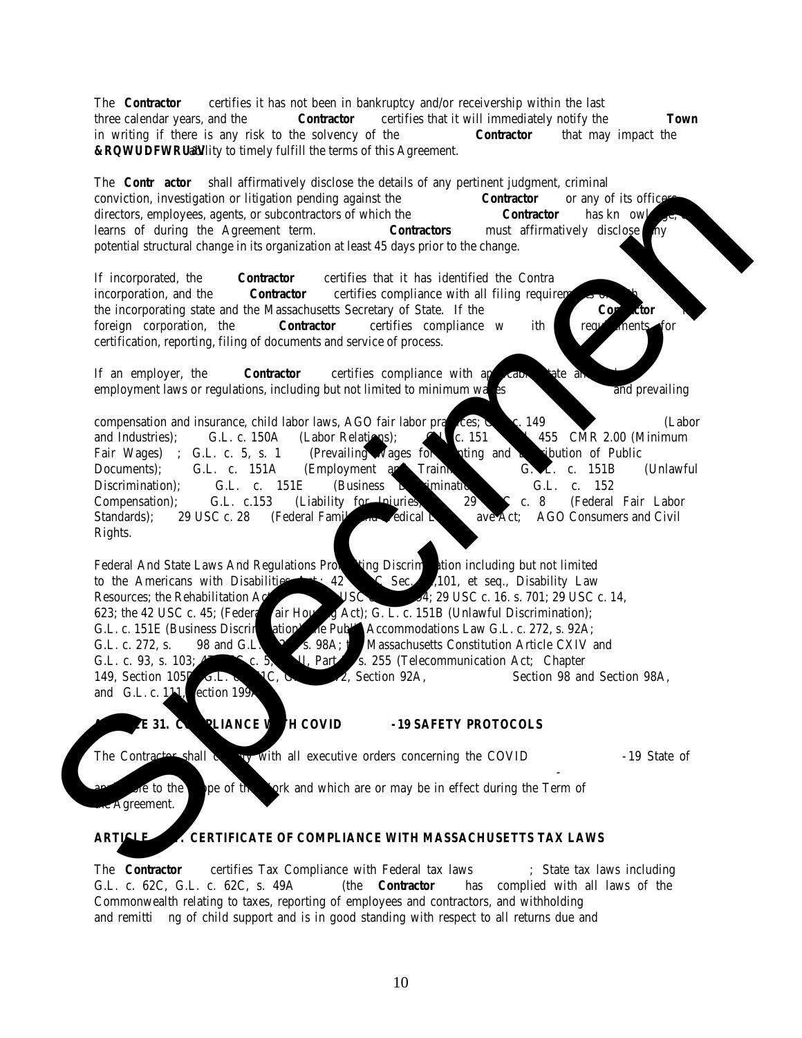| <b>Procurement in Brief</b>                                                                                                                   |                                                                                                                                                                                                                                                                                                                             |                                                           |
|-----------------------------------------------------------------------------------------------------------------------------------------------|-----------------------------------------------------------------------------------------------------------------------------------------------------------------------------------------------------------------------------------------------------------------------------------------------------------------------------|-----------------------------------------------------------|
| <b>Primary Procurement Contact</b>                                                                                                            |                                                                                                                                                                                                                                                                                                                             | David Davison, Assistant Town Manager/Director of Finance |
|                                                                                                                                               |                                                                                                                                                                                                                                                                                                                             | email: Pcentral@needhamma.gov                             |
| Event                                                                                                                                         |                                                                                                                                                                                                                                                                                                                             | Details                                                   |
| Upon Award of Contract                                                                                                                        |                                                                                                                                                                                                                                                                                                                             |                                                           |
| Payment Bond                                                                                                                                  | Will NOT be Required                                                                                                                                                                                                                                                                                                        |                                                           |
| Performance Bond                                                                                                                              | Will NOT be Required                                                                                                                                                                                                                                                                                                        |                                                           |
| Insurance                                                                                                                                     | Refer to contract terms                                                                                                                                                                                                                                                                                                     |                                                           |
| Honesty Bond                                                                                                                                  | Will NOT be Required                                                                                                                                                                                                                                                                                                        |                                                           |
| <b>Payment Terms</b>                                                                                                                          | The Town is open to a payment structure under the contract awarded from this RFP that will be based<br>on milestones tied to outcomes. However, the Town will consider proposals to structure payments in a<br>different manner and reserves the right to select any payment structure that is in the Town's best interest. |                                                           |
| * Written inquiries must be sent prior to the above date and time deadlines. The Town will respond to written questions submitted by          |                                                                                                                                                                                                                                                                                                                             |                                                           |
| individuals/companies who intend to submit a bid. Individuals/companies will demonstrate their intention to bid by completing and             |                                                                                                                                                                                                                                                                                                                             |                                                           |
| returning the Acknowledgement of Receipt form. The time/date stamp machine located in the Town Manager's Office will govern the               |                                                                                                                                                                                                                                                                                                                             |                                                           |
| date and time requirements mentioned in the table above and throughout this document. Please allow enough time for hand delivery.             |                                                                                                                                                                                                                                                                                                                             |                                                           |
| ** The Bidder agrees that the offer is effective for (a) at <b>least 90 calendar days</b> from the opening date of the bids (b) a contract is |                                                                                                                                                                                                                                                                                                                             |                                                           |

executed, or (c) this bid is cancelled, whichever of (a), (b), or (c) occurs first. The time for award may be extended by the Town. The Town reserves the right to change, delay, cancel, or expedite the contract award date. The Town reserves the right to reject any and all bids as determined to be in the best interests of the Town and to waive minor informalities.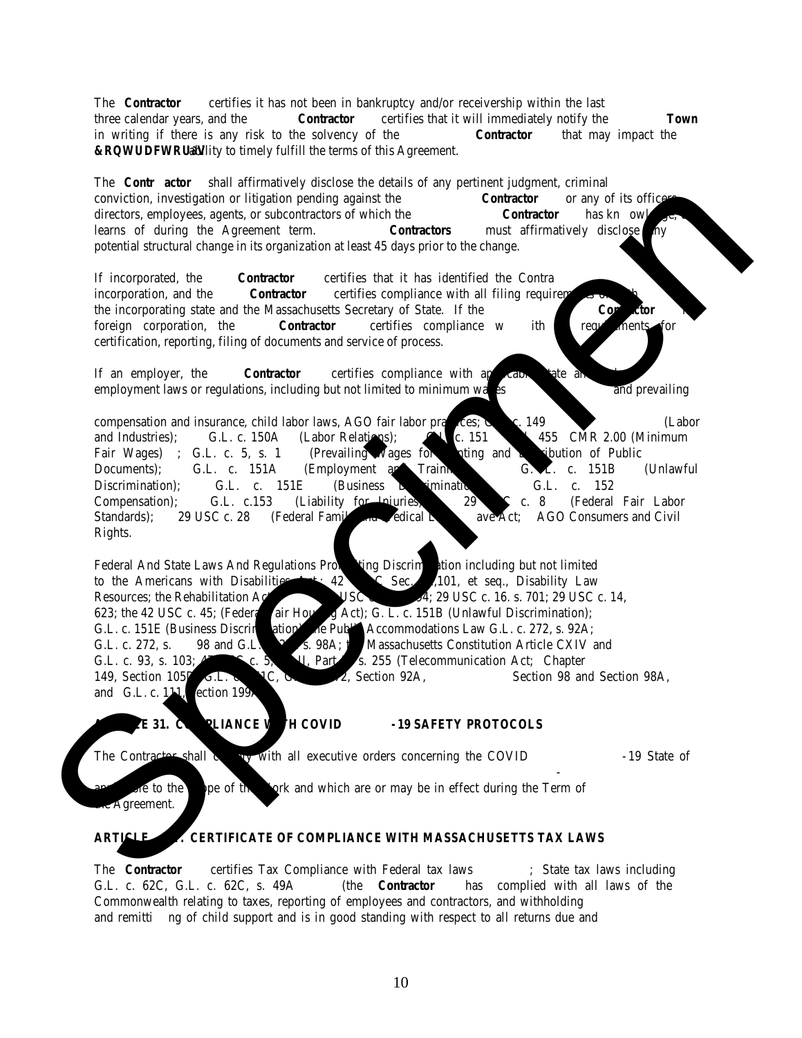#### **PART 1 GENERAL INFORMATION**

#### **1.01 Quantities**

Unless otherwise stated, the quantities set forth herein are ESTIMATES ONLY. Any quantities indicated on the **Bid Form** or elsewhere in the bid package are estimates only and are given solely as a basis for the comparison of bids. The bidder shall have no claim for additional compensation, or refuse to do the work called for, or provide the requested items, by reason of the actual quantities involved being greater or lesser by any amount than those called for in the bid.

#### **1.02 Questions Regarding the Bid**

The bidder shall be satisfied as to the requirements to enable intelligent preparation of your bid. The bidder shall be familiar with all the bid material requirements and documents before submitting the bid to avoid any misunderstanding. Bidders shall promptly raise the issue of any ambiguity, inconsistency, or error, which they may discover upon examination of the bid documents, specifications, services, worksite, or any other conditions which may apply. No allowance will be made for any claim that the bid is based on incomplete information.

The Town will respond to written questions submitted by individuals/companies who intend to submit a bid. Individuals/companies will demonstrate their intention to bid by completing and returning the **Acknowledgement of Receipt** form.

Inquiries concerning any part of this bid shall be directed to the individual(s) listed under the **Procurement in Brief.** Bidders should note that **oral communications are not binding on the Town and only written responses by the Town will be considered.** All requests/questions must be submitted in writing. Questions may be delivered by hand or email as referenced under the **Procurement in Brief** by the deadline. Questions that may be asked during any pre-bid conference should also be sent in writing in order to receive an official response. Requests properly presented that in the opinion of the Town require interpretation, correction, or change in the bid documents will result in an issuance of an addendum to the bid documents. The Town will forward responses to all persons who are on record as receiving the bid package. Questions received after the due date will not be responded to unless the Town determines it is necessary. Bidders, please allow enough time for hand delivery.

#### **1.03 Information about Changes to the Bid**

In the event that changes/additions are made to this bid, an addendum will be issued. Addenda will be emailed if an email address was provided. **Addenda will also be posted to the Town's website where the bid package was made available.** Please check back on the website for addendums before submitting your bid to the Town. Bidders may not be notified individually of Addendums.

#### **1.04 Bonds, Insurance, and Indemnification**

#### Bonds

Bidders should refer to the **Procurement in Brief** for any bond (Bid (surety) Bond, Honesty Bond, Payment Bond, and/or Performance Bond) requirements.

#### **Insurance**

Bidder awarded a contract under this bid must provide proof of insurances in at least the minimum amounts required in the contract and when requested shall name the Town of Needham as an additional insured for the amounts written.

The Bidder awarded a contract shall deposit with the Town Certificates of Insurance for the coverage required, in form and substance satisfactory to the Town, and shall deliver to the Town new policies and certificates thereof for any insurance about to expire at least ten (10) days before such expiration. All such insurance policies shall contain an endorsement requiring thirty (30) days written notice to the Town prior to cancellation of change in coverage, scope, or amount of any such policy or policies. Compliance by the bidder with the insurance requirement, however, shall not relieve the Bidder from liability under the indemnity provisions.

#### Indemnification

The bidder shall indemnify, defend, and save harmless the Town and all of the Town's officers, agents and employees from and against all suits and claims of liability of every name and nature, including costs of defending any action, for or on account of any injuries to persons or damage to property of the Town or any person, consultant, corporation or association arising out of or resulting from any negligent act, omission, or negligence of the bidder, its subcontractors and its and their agents or employees in the performance of the work covered by the contract and/or failure to comply with terms and conditions of the contract, but only in respect to such injuries or damages sustained during the performance and prior to the completion and acceptance of the work covered by the contract and to the extent such injuries or damages are not covered by the Town's insurance. The foregoing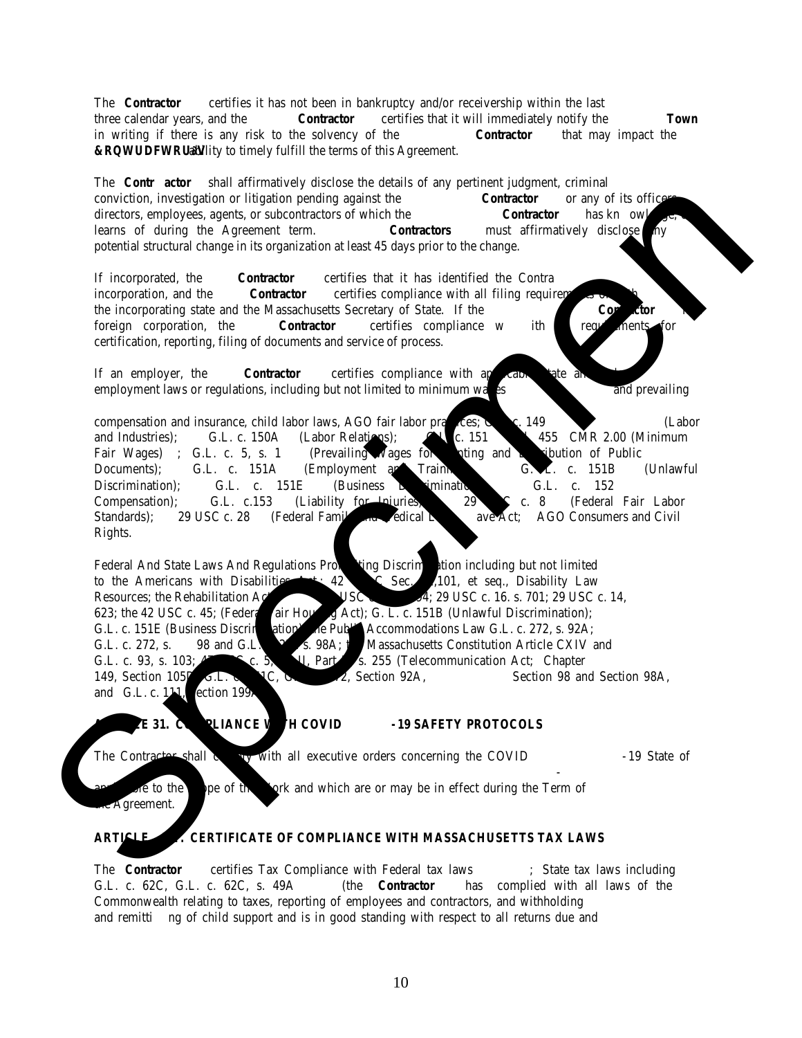provisions shall not be deemed to be released, waived, or modified in any respect by reason of any surety or insurance provided by the bidder under the contract.

#### **1.05 Execution of the Contract**

The awarded bidder agrees and will execute the approved contract electronically. The Town will forward the contract to be executed via DocuSign.

#### **1.06 Payment and Discount Terms, Adjustments for Incomplete Work**

#### Payment Terms

The unit bid price shall be the basis for payment for purchased items or services. Payment shall be based on the items or services purchased. Invoicing may be performed after delivery, work has been completed, or monthly, for items or services that have been fulfilled.

Invoices are to itemize charges for labor, equipment, supplies, and services. The Town will not be responsible for payment of any charges not itemized to the Town's satisfaction. Pre-payment is NOT allowed. Invoices should include the Town's purchase order number. The Purchase Order number may change with each fiscal year.

Invoices for additional services must include the date and times of the work, the type of services performed; the number of hours or units to be charged, and the name of the person who authorized the work. They are to be sent in duplicate directly to the Town's designee for processing and are not to be included on the regular monthly invoice.

Invoices for additional supplies and/or materials must include the quantity, date and times of delivery, a description of the supplies or materials, unit price, shipping, and handling charges as applicable, and the name of the person who placed the order. They are to be sent in duplicate directly to the Town's designee for processing and are not to be included on the regular monthly invoice.

#### Adjustments for Incomplete or Unacceptable Work

The Town reserves the right to withhold payment for incomplete or unacceptable work. The Town shall provide notice of any work that is deemed to be incomplete or unacceptable. The vendor shall rectify that condition to the satisfaction of Town. The Town will also reduce the bill for any services deemed unsatisfactory. At no time will penalty assessment be recoverable by the vendor.

The vendor shall take all proper precautions to protect the Town and private property from damage and/or loss. Should any damage to, and/or loss of, property be caused by the vendor, the vendor will be required to make repairs and/or restitution immediately at its expense.

Refer to the **Procurement in Brief** for other payment term considerations.

#### **1.07 Bid Modifications or Withdrawals**

Bids may be corrected, modified, or withdrawn prior to the submission deadline. Requests to do so must be received in writing by the Town Manager. After the submission deadline, bids may not be changed. Minor mistakes may be waived by the Town.

#### **1.08 Premature Opening of a Bid**

The Town will not be responsible for the premature opening of any bid not properly identified. The Town may reject bids which are incomplete, not properly endorsed, not signed, or are otherwise contrary to these instructions.

## **1.09 Unexpected Closure or Delays**

If, at the time of the scheduled bid submission deadline, the designated location for delivery of the bid is closed due to uncontrolled events such as fire, snow, ice, wind, building evacuation or other, the deadline will be postponed until **11:00 a.m.** on the next normal business day (Monday through Friday, excluding Holidays). Bids will be accepted at the same location until that date and time.

#### **1.10 Late Submissions**

Late bids will not be considered. The Town assumes no responsibility for late submissions due to mail, courier, or delivery problems.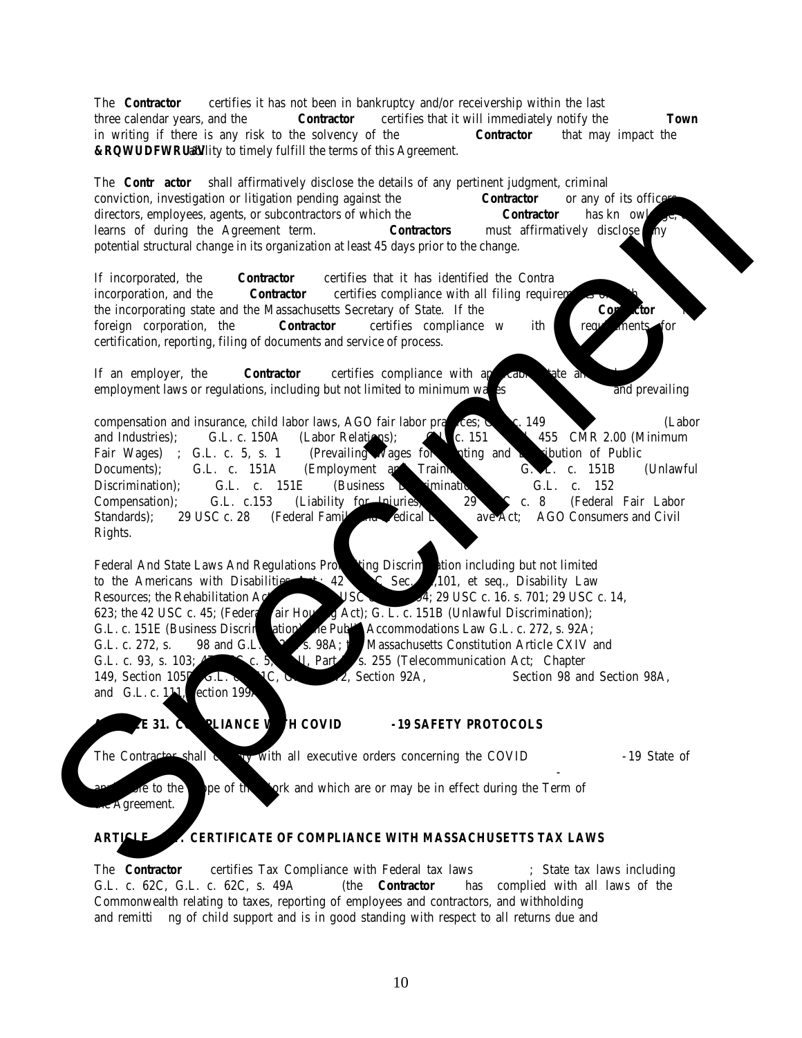#### **1.11 Rejection of Bids**

The bid must satisfy all the submission requirements in order to be considered for award. Failure to complete the required forms, answer any questions, or provide the required documentation will be deemed NON-RESPONSIVE and result in rejection of the bid unless the Town determines that such failure constitutes a minor informality that can be corrected without prejudice to other bidders. A bid may be rejected if the Bidder:

- ➢ Fails to adhere to one or more of the provisions established in the bid package.
- $\triangleright$  Fails to submit its bid by the time or in the format specified herein or to supply the minimum information requested herein.
- $\triangleright$  Fails to submit its bid to the required address on or before the specified submission deadline.
- $\triangleright$  Misrepresents its service or provides demonstrably false information in its bid or fails to provide material information.

#### **1.12 Taxes**

Purchases made by the Town are exempt from the payment of all Federal excise tax and the payment of Commonwealth of Massachusetts sales tax and any such taxes must not be included in the bid prices. If requested, the Town will provide the awarded bidder with a copy of the Certificate of Exemption.

#### **1.13 Public Records**

Under the Massachusetts General Laws, the Town cannot assure the confidentiality of any materials or information that may be submitted by the bidder in response to this Bid. Thus, bidders who choose to submit confidential information do so at their own risk. All bids or other materials submitted by the bidder in response to this Bid will be open for inspection by any person and in accordance with M.G.L. c.66 (Public Records Law). Any statements reserving any confidentiality or privacy rights in the submitted responses or otherwise inconsistent with these statues will be void and disregarded.

#### **1.14 Conflict of Interest**

By execution of a contract with the Town of Needham, the Bidder acknowledges that the Town of Needham is a municipality for the purposes of M.G.L. c.268A (the Massachusetts conflict of interest statue), and agrees, as circumstances require, to take actions and to forbear from taking actions so as to be complying at all times with the obligations of the contractor based on said statute.

## **1.15 Tie Bids**

In the event that there is a tie bid between two (2) responsive and responsible bidders, the award of the contract will be determined by a coin toss. The bidder's whose submission was received earliest shall be assigned "Heads" in the coin toss. In the event that there is a tie bid with three (3) or more responsive and responsible bidders, the award shall be made by a draw by lot limited to those bidders. The coin toss/draw by lot shall be scheduled within two (2) business days from when it was determined by the Town to be a tie bid. The bidders involved shall be given an opportunity to attend. The coin toss/drawing shall be witnessed by at least three (3) Town officials. The tie breaker event shall be held at the Needham Town Hall during regular business hours.

#### **1.16 Contract Award**

#### **The Town reserves the right to reject any and all bids as determined to be in the best interests of the Town and to waive minor informalities.**

A contract is anticipated to be executed by the date indicated under **Procurement Schedule** for this bid. However, the Town reserves the right to change, delay, cancel, or expedite the contract execution date. The selected bidder is required to furnish all bonds and certificate of insurances required under the contract, in a form acceptable to the Town prior to the execution date.

The award may be subject to further discussions with the bidder. The making of a preliminary award to a bidder **does not** provide the bidder with any rights and does not impose upon the Town any obligations. The Town is free to withdraw a preliminary award at any time and for any reason. A bidder has rights, and the Town has obligations, only if and when a contract is executed by the Town and the bidder.

Changes to the terms of the Town's contract may be requested by the bidder in writing and submitted with the bid and if, in the opinion of the Town, the requested inclusion(s) and/or deletion(s) does not materially affect the bid, they may be allowed at the sole discretion of the Town. Bidders shall NOT be allowed to request any changes to the contract terms once award of contract has been announced.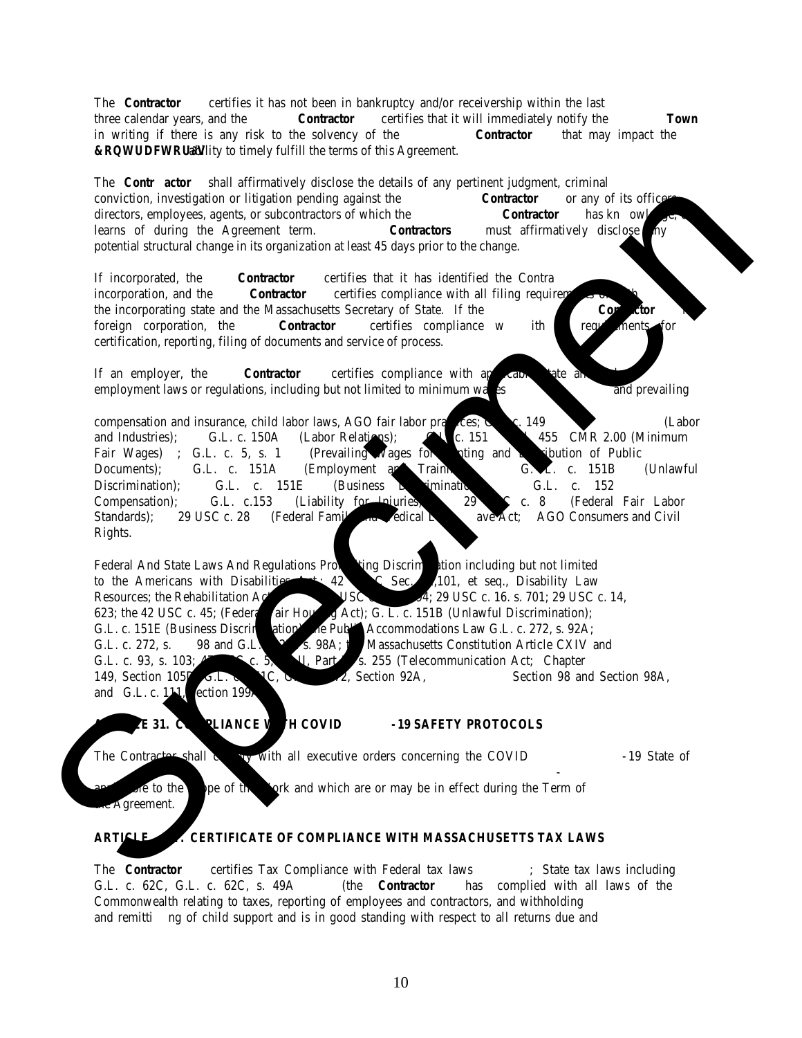The Town herein declares its express purpose not to award the contract to any bidder unable to furnish evidence, satisfactory to the Town, that it has sufficient ability, experience, and capital to execute and complete the work in accordance with the contract. If requested, any bidder may be required to demonstrate financial stability satisfactory to the Town.

The Town Manager is the awarding authority for the contract. Further, the contract will not be binding until it has been approved as to form by Town Counsel. Award, payment, and performance obligations shall depend on the availability and appropriation of funds.

The Town reserves a period up to **90 calendar days** following the opening of the bids in which to evaluate and award the contract.

## **1.17 Other Notices**

The consideration of all bids and subsequent selection of the successful applicant shall be made without regard to race, color, sex, age, handicap, religion, political affiliation, or national origin.

The bidder shall adhere to the provisions of the Fair Employment Practices Law of the Commonwealth (M.G.L. c.151B).

The provisions relating to non-discrimination and affirmative action in employment shall flow through all contracts and subcontracts that the successful bidder may receive or award as a result of this contract.

Any services provided by the bidder shall be rendered through a professional services contract. The bidder will not be considered an employee of the Town and will not receive any benefits of an employee.

The bidder shall comply with M.G.L. c.66A if the bidder becomes a "holder" of "personal data". The bidder shall also protect the physical security and restrict any access to personal or other Town data in the bidder's possession or used by the bidder in the performance of the contract, which shall include, but is not limited to the Town's public records, documents, files, software, equipment, or systems.

## **1.18 Clarification of Terminology**

All references in this Bid to features, functions, services, or deliverables that "should", "must", "will", "has ability to", etc. be provided by the bidder are to be construed as mandatory. Similarly, all references in this Bid to information that "should", "must", "will", "has ability to", etc. be provided in the bidder's proposal are to be construed as mandatory.

Bidders may be referred to alternatively as "bidders", "offerors", "respondents", "successful offerors", "successful bidders", "vendors", etc. All such references (except for those explicitly defined otherwise) are to the primary contractor who submits a response to this bid and, if successful, who will be responsible for the successful completion of all required deliverables.

References to days are to workdays unless otherwise explicitly stated.

Reference to time as stated in this bid is based on local Eastern Standard Time.

*End of Section*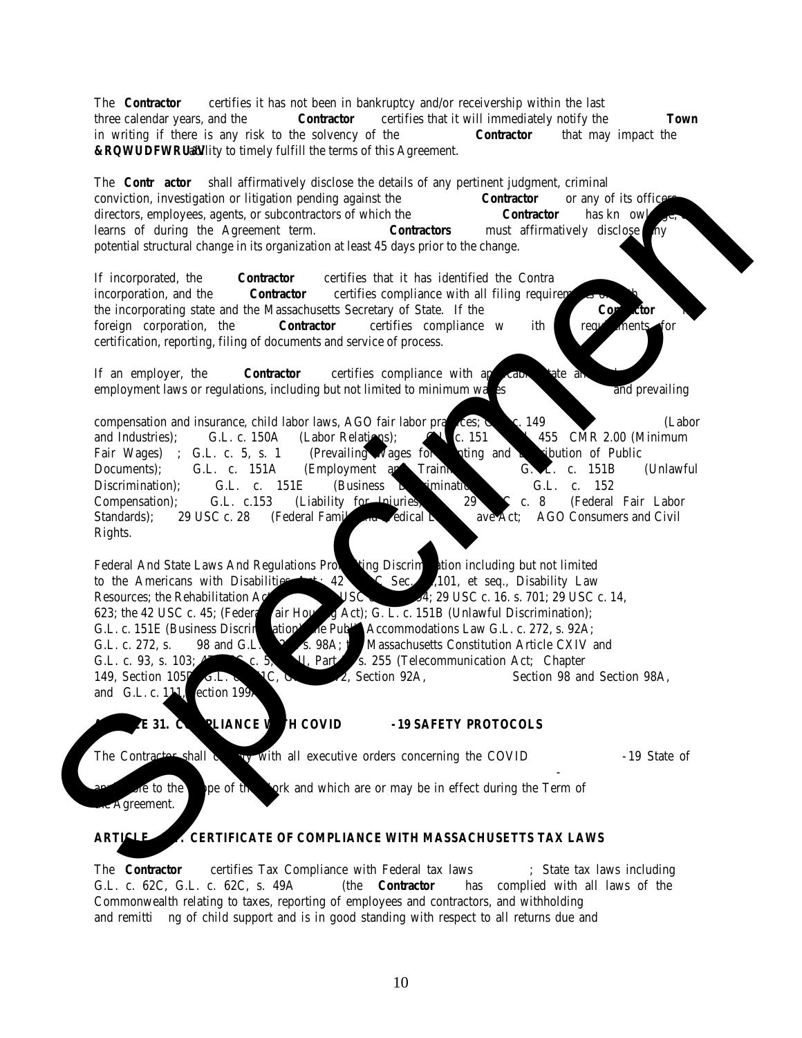## **PART 2 SCOPE OF SERVICES/PRODUCT SPECIFICATIONS**

## **2.01 – OVERVIEW**

The Town is requesting bids to provide customized work shirts, T-shirts, Polo shirts, sweatshirts, fleece clothing, vests, and jackets for Town staff on as "needed" basis. The quantities are estimates only and are given solely as a basis for the comparison of bids. The awarded bidder shall have no claim for additional compensation, or refuse to do the work called for, or provide the requested items, by reason of the actual quantities involved being greater or lesser by any amount called for in the bid.

All items must be available in women and men's regular and Big & Tall sizes and must be offered in a variety of colors. The Town is specifying brands to ensure consistency of quality. Any references to any brand name or proprietary product in the specifications shall require the acceptance of an equal or better brand. The Town has the right to make the final determination as to whether an alternate brand is equal to the brand specified.

The vendor must be able to provide screen print and embroidery services in a variety of colors and without a setup fee. The vendor must commit to provide clothing items in accordance with the Town's specifications and as listed on the Bid Price Form. Substitutions will not be accepted after award.

The vendor must maintain adequate inventory of all sizes and colors for items listed in this bid and must be able to fulfill order within 3 weeks (15 business days) from the time the order is placed. The vendor must notify the Town personnel immediately of any delays or difficulties in order fulfillment. Items delivered after 30 business days may be deemed unacceptable and returned to the vendor at no cost to the Town. Any improperly manufactured item or items that have been screen-printed/embroidered contrary to the Town's instructions must be replaced within one (1) week from the time of notification. All shipping and delivery expenses are the responsibility of the vendor; the Town is not to be billed separately.

Although not required, bidders who offer "Bag by Employee/Box by Division" shipping capabilities will weigh favorably.

## **2.02 – DETAILS**

## **Invoicing:**

Vendor shall bill the ordering department and referenced the purchase order number provided with each order. No extra charges shall be invoiced.

## **REQUIRED Services:**

Silk screening will be one color as specified and generally consist of the Town Seal (2.75" diameter) with Department/Division name under the seal, or Department logo with the name of the Department under the logo, others will have specific lettering and/or artwork on the back of the shirt, and some will have artwork on the front, or front and back of the shirt. No set-up fee may be charged. Please see Appendix A.

Embroidery will generally consist of the Town Seal in one color thread, with the Town and/or Department name below the seal, typically 2.75 inches in size. No set-up fee may be charged. Please see Appendix A.

## **REQUIRED clothing items:**

- (A) T-shirts:
- Gildan brand or equivalent in quality
- Short and long sleeve
- Pre-shrunk, machine washable
- Material must be able to withstand normal wear and tear and retain color for more than 50 washes.
- 50/50 cotton/polyester mix and 100% preshrunk Cotton must be offered
- No pocket
- Adult sizes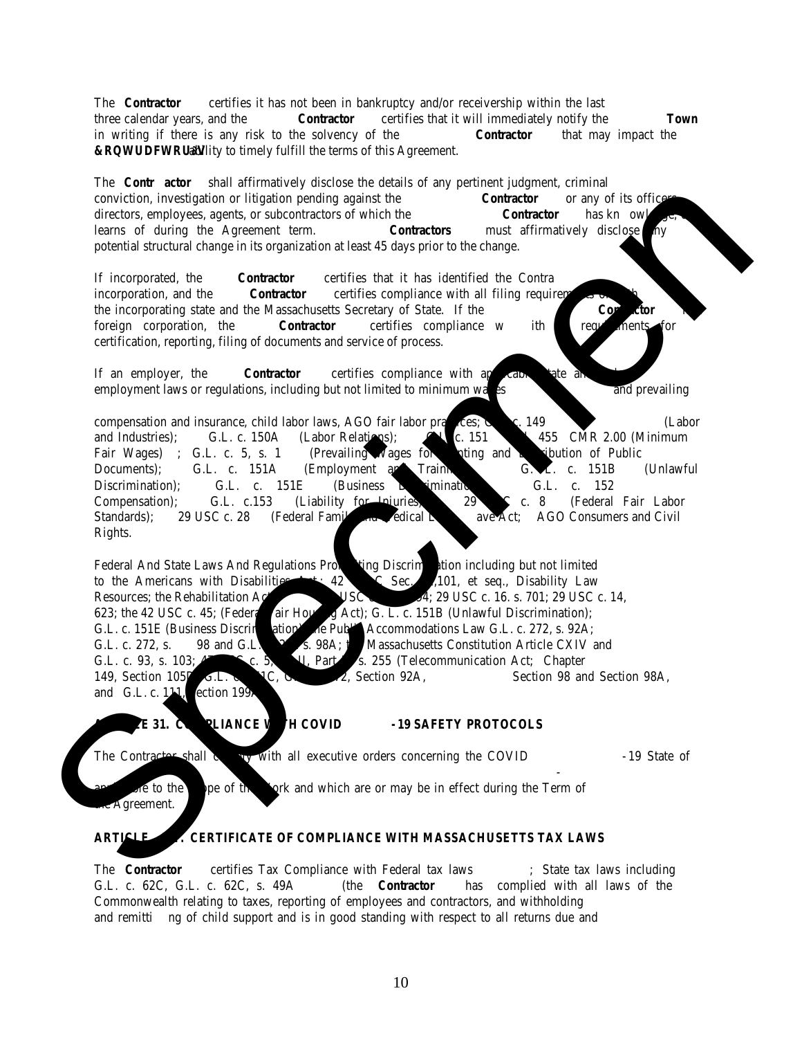- Variety of colors, must be offered in navy or similar and bright red
- Required: Women's style short-sleeve T-shirt option (i.e., feminine shaping).
- Optional: Tri-blend option (not required for award)
- (B) Men's Polo Shirts:
- Pique style: hemmed short-sleeves, 3-button; rib-knit collar, no pockets.
- Office wear style (i.e., "dressy"), wrinkle and crease resistant
- 60/40 Cotton/Polyester; 50/50 Cotton Polyester or 100% Cotton
- Pre-shrunk, machine washable
- Variety of colors
- Material must be engineered not to fade, pill, or shrink more than 5%
- Material must be able to stay soft through multiple washes and wearings.
- (C) Women's Polo Shirts:
- Pique style: hemmed short-sleeves, 3-button; rib-knit collar, no pockets.
- Office wear style (i.e., "dressy"), wrinkle and crease resistant
- "Princess" fit tailored to accentuate feminine shape
- 60/40 Cotton/Polyester; 50/50 Cotton Polyester or 100% Cotton
- Pre-shrunk, machine washable
- Variety of colors
- Material must be engineered not to fade, pill, or shrink more than 5%
- Material must be able to stay soft through multiple washes and wearings.
- (D) Fleece Jackets:
- High quality material, comparable to Harriton, WearGuard, Port Authority, Sport-Tek, etc.
- Men and Women styles must be offered
- 100% Spun polyester fleece (midweight)
- Non-pill finish
- Highly breathable
- Front zip-pockets
- Full length zipper
- Non-roll elastic cuffs guaranteed against fraying
- Variety of colors
- Machine washable
- Material must be able to stay soft through multiple washes and wearings.
- Women's style must be tailored –fit with contoured panels to accentuate feminine shape (e.g., Raglan sleeves,

princess seams, body skimming fit, etc.)

- (E) Men's Fleece Vests:
- High quality material, comparable to Harriton, WearGuard, Port Authority, Sport-Tek, etc.
- 100% Spun polyester fleece (8 oz. fleece weight minimum)
- Non-pill finish
- Highly breathable
- Front zip-pockets
- Full length zipper
- Variety of colors
- Machine washable
- Material must be able to stay soft through multiple washes and wearings.
- (F) Women's Fleece Vests:
- Tailored Style –fit with contoured panels to accentuate feminine shape (e.g., Gently contoured silhouette, raglan sleeves, princess seams, body skimming fit, etc.)
- 100% Spun polyester fleece (7 oz. fleece weight minimum)
- Non-pill finish
- Highly breathable
- Front zip-pockets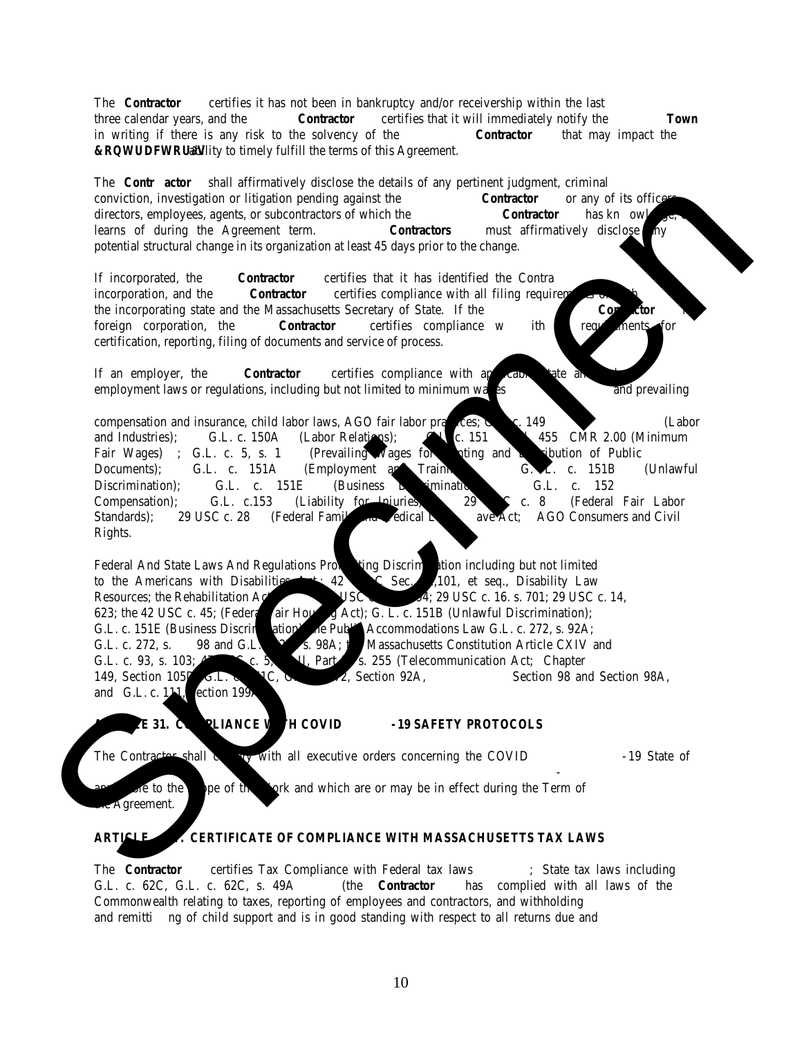- Full length zipper
- Variety of colors
- Machine washable
- Material must be able to stay soft through multiple washes and wearings.
- (G) Sweatshirts:
- Gildan brand or equivalent
- Must be available in crewneck style, pullover hoodie and full-zip hoodie
- 8 10 oz. weight
- Non-pill finish
- Front pouch pockets
- Variety of colors \*Must be offered in Navy Blue
- Suitable for outdoor wear
- Machine Washable
- Material must be able to stay soft through multiple washes and wearings.
- (H) Heavy Weight Sweatshirts:
- Sport-Tek brand or equivalent
- Must be available in crewneck style, pullover hoodie and full-zip hoodie
- 12 oz. minimum weight
- Non-pill finish
- Front pouch pockets
- Variety of colors \*Must be offered in Navy Blue
- Machine Washable
- Material must be able to stay soft through multiple washes and wearings.
	- (I) Men's Button-Down Long Sleeve Shirts:
- Port-Authority or WearGuard brand or equivalent
- 100% cotton or cotton/poly blend
- Office wear style (i.e., "dressy"), button-down with collar, left pocket, wrinkle and crease resistant
- Variety of colors
- Machine Washable
- Material must be able to stay soft through multiple washes and wearings.
	- (J) Women's Button-Down Long Sleeve Shirts:
- Harriton or Devon & Jones brand or equivalent
- 100% cotton or cotton/poly blend
- Office wear style (i.e., "dressy"), button-down with collar, no pocket, back/bust darts, or "princess" seams for feminine fit, wrinkle and crease resistant
- Variety of colors
- Machine Washable
- Material must be able to stay soft through multiple washes and wearings.

## **2.03- QUALITY REQUIREMENTS (Minimum Criteria)**

- 1. The bidder must be able to document to the satisfaction of the Town that it has the available resources (financial, personnel, equipment, and experience) to provide the goods and services requested.
- 2. The bidder must agree to execute the Town's standard 30B Short Form Agreement.

*End of Section*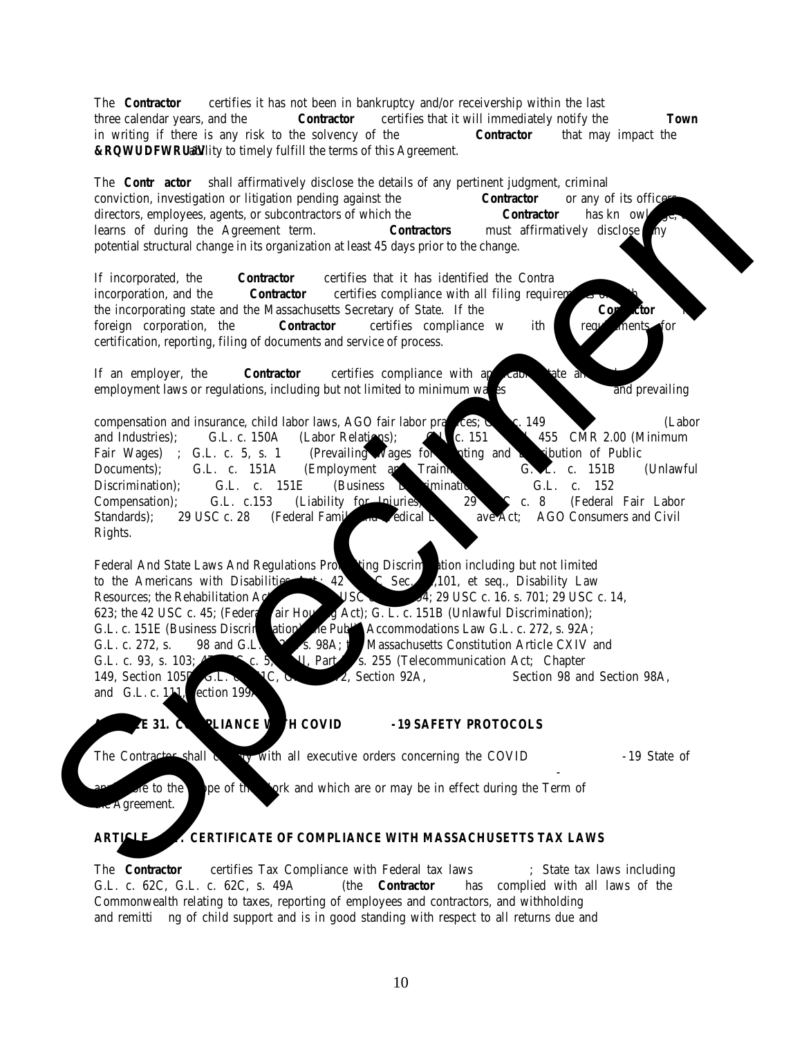## **PART 3 SUBMISSION REQUIREMENTS**

#### **3.01 Submission Requirements**

The bid is to be submitted and addressed as follows: Kate Fitzpatrick, Town Manager, Town Hall, 1471 Highland Avenue, Needham, Massachusetts, 02492. The bidder is to provide one (1) original signed paper copy.

The bid is to be clearly marked: "Jackets, Work Shirts, and Other Clothing Items 23NEE005G.

Bidder should acknowledge all addenda related to this IFB, if any. Failure to received or acknowledge any addenda does not relive the bidder of any changes, conditions, quantities, methods, requirements that may result by the issuance of the addenda. Bidders are encouraged to check the Town's website www.needhamma.gov/bids.aspx for addenda before submitting your bid to the Town.

Bidder must submit a completed **Bidder Information Response** form with the contact information and questions answered.

#### A signed **Certificate of Good Faith.**

A completed **Certificate of Compliance with Massachusetts Tax Laws** or Certificate of Good Standing issued by the Massachusetts Department of Revenue.

A completed **Promise to Execute Contract** form which states the bidder is aware and agrees that the final contract to be executed by the parties will be done remotely via the method determined and chosen by the Town. Currently the Town uses DocuSign to execute contracts.

The Bidder MUST provide a minimum of five (5) references. For each, provide the following: a contact person and title, customer's name, address, telephone number, email, and a brief description of the actual items provided (sample format included in bid package). Do not use the names of relatives or Town of Needham Employees as references. You may use previous Town contracts as a record of your experience only. The Town has provided a **Professional References Form** (attached) that the bidder may use but is not required to use this form; however, the Bidder is required to provide in whatever format at least the requested information that is stated on the Professional Reference Form. If any of the requested information is not available, the bidder is to disclose this fact and why.

Bidder must submit a completed **Bid Form** or an exact copy, signed by an individual authorized to negotiate for and contractually bind the Bidder. All prices must be reflective of all costs for delivery. Any and all damages that may occur due to packaging or shipping will be the sole responsibility of the Bidder. No price adjustments will be allowed. Fuel surcharges or vehicle surcharges or adjustments will not be allowed. Failure to fully complete the form, or provide the requested information, or making any alterations will be deemed a conditional bid and the proposal will be rejected.

A completed Certificate of Authority (attached) or Corporate Resolution; if applicable.

Bids must be received, and time stamped no later than the deadline stated in the **Procurement in Brief** (Where and When Bids are Due). LATE BIDS WILL NOT BE CONSIDERED.

A Bid Bond if required is stated in the Procurement in Brief.

Delivery will be at the expense of the Bidder. Any and all damages that may occur due to packaging or shipping will be the sole responsibility of the Bidder.

**The Town reserves the right to reject any and all bids as determined to be in the best interests of the Town and to waive minor informalities.**

*End of Section*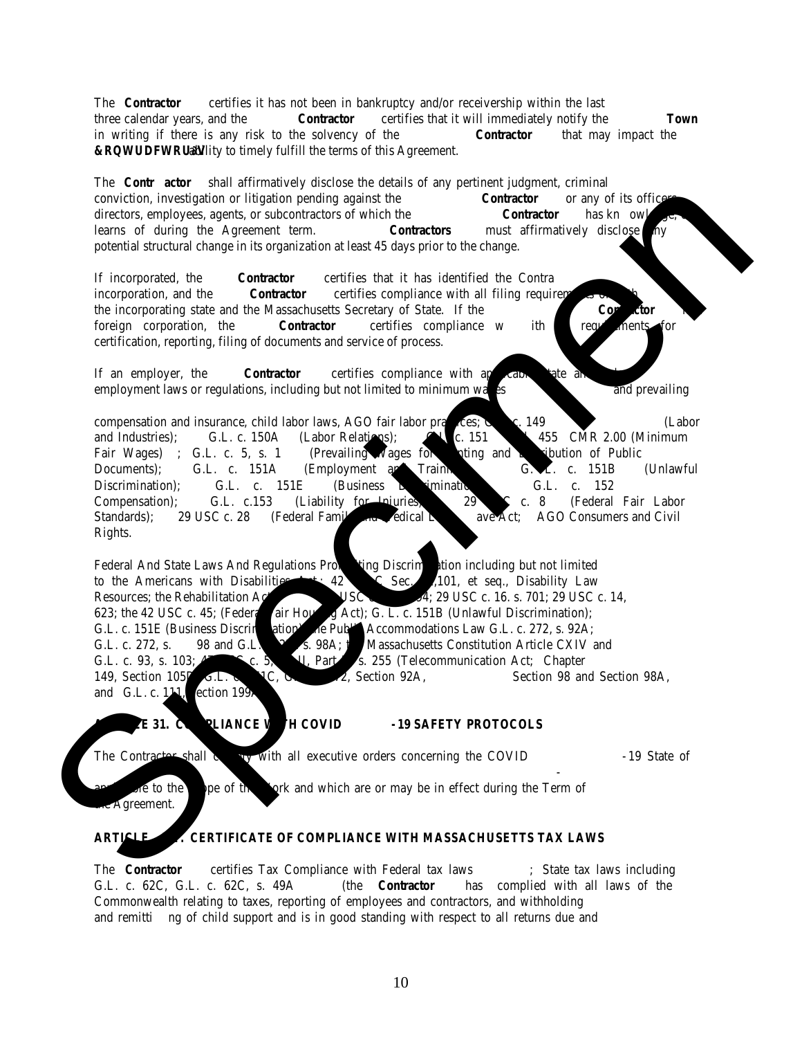#### **PART 4 – CHECKLIST AND FORMS FOR SUBMISSION Jackets, Work Shirts, and Other Clothing Items 23NEE005G Checklist**

|        | Checklist                                                                                                                                                                                                                                                                                                                                               |  |  |  |  |
|--------|---------------------------------------------------------------------------------------------------------------------------------------------------------------------------------------------------------------------------------------------------------------------------------------------------------------------------------------------------------|--|--|--|--|
|        |                                                                                                                                                                                                                                                                                                                                                         |  |  |  |  |
| ⊔      | Bidder has completed and returned the Acknowledgement of Receipt form (prior to bid submission).                                                                                                                                                                                                                                                        |  |  |  |  |
| $\Box$ | Bidder has completed, signed, and enclosed the Bidder Information Response.                                                                                                                                                                                                                                                                             |  |  |  |  |
| $\Box$ | Bidder has completed, signed, and enclosed the Certificate of Good Faith.                                                                                                                                                                                                                                                                               |  |  |  |  |
| $\Box$ | Bidder has completed, signed, and enclosed the Certificate of Compliance with Massachusetts Tax Laws or provided<br>the Certificate of Good Standing by the Department of Revenue.                                                                                                                                                                      |  |  |  |  |
| ⊔      | Bidder has completed, signed, and enclosed the Promise to Execute Contract.                                                                                                                                                                                                                                                                             |  |  |  |  |
| $\Box$ | Bidder has provided a minimum of five (5) references.                                                                                                                                                                                                                                                                                                   |  |  |  |  |
| $\Box$ | If the bid submission is signed by someone other than the Owner/President of the company, a completed <b>Certificate of</b><br>Authority or Corporate Resolution for the person who signed the proposal stating the individual has the authority to<br>submit the proposal on behalf of the Bidder and can bind the Company to the contract if awarded. |  |  |  |  |
| $\Box$ | Bidder has completed, signed, and enclosed the Bid Price Form.                                                                                                                                                                                                                                                                                          |  |  |  |  |
| $\Box$ | Bidder has identified the Customer Service Representative to be assigned to this account (on Bid Price Form).                                                                                                                                                                                                                                           |  |  |  |  |
| $\Box$ | Bidder disclosed the minimum number of items required to be ordered for both silk-screen and embroider items, without<br>a setup fee (on Bid Price Form).                                                                                                                                                                                               |  |  |  |  |
| $\Box$ | Bidder has provided sample ordering forms for placing orders                                                                                                                                                                                                                                                                                            |  |  |  |  |
| $\Box$ | Bidder has provided a PDF copy of the bid on a thumb drive (not required but helpful if you do).                                                                                                                                                                                                                                                        |  |  |  |  |
| □      | Bidder acknowledged all addenda if any                                                                                                                                                                                                                                                                                                                  |  |  |  |  |
|        | THIS FORM MUST BE FILED WITH BID SUBMISSION                                                                                                                                                                                                                                                                                                             |  |  |  |  |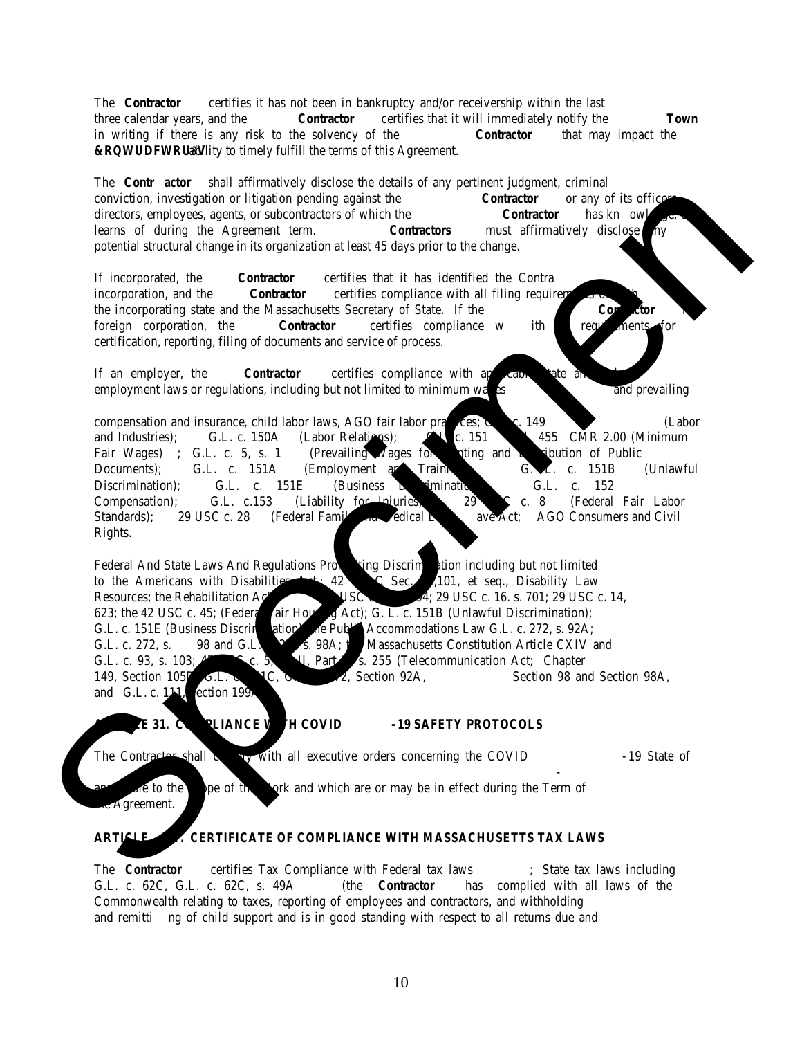|                                                                                                                                                                                                                                | <b>Bidder Information Response</b><br>Jackets, Work Shirts, and Other Clothing Items<br><b>23NEE005G</b>                                                                                                                       |  |
|--------------------------------------------------------------------------------------------------------------------------------------------------------------------------------------------------------------------------------|--------------------------------------------------------------------------------------------------------------------------------------------------------------------------------------------------------------------------------|--|
|                                                                                                                                                                                                                                |                                                                                                                                                                                                                                |  |
|                                                                                                                                                                                                                                |                                                                                                                                                                                                                                |  |
|                                                                                                                                                                                                                                |                                                                                                                                                                                                                                |  |
|                                                                                                                                                                                                                                |                                                                                                                                                                                                                                |  |
|                                                                                                                                                                                                                                |                                                                                                                                                                                                                                |  |
|                                                                                                                                                                                                                                |                                                                                                                                                                                                                                |  |
|                                                                                                                                                                                                                                |                                                                                                                                                                                                                                |  |
| from business address.                                                                                                                                                                                                         | If the bidder is a partnership, give full names and addresses of all partners; and if an individual, give residential address if different                                                                                     |  |
| <b>Company Contacts - Required</b>                                                                                                                                                                                             |                                                                                                                                                                                                                                |  |
| Individual Submitting the Bid:                                                                                                                                                                                                 |                                                                                                                                                                                                                                |  |
|                                                                                                                                                                                                                                |                                                                                                                                                                                                                                |  |
|                                                                                                                                                                                                                                | Mailing Address and the contract of the contract of the contract of the contract of the contract of the contract of the contract of the contract of the contract of the contract of the contract of the contract of the contra |  |
|                                                                                                                                                                                                                                |                                                                                                                                                                                                                                |  |
|                                                                                                                                                                                                                                |                                                                                                                                                                                                                                |  |
| Email Address: No. 1996. The Contract of the Contract of the Contract of the Contract of the Contract of the Contract of the Contract of the Contract of the Contract of the Contract of the Contract of the Contract of the C |                                                                                                                                                                                                                                |  |
| Individual to be contacted about the Bid:                                                                                                                                                                                      |                                                                                                                                                                                                                                |  |
|                                                                                                                                                                                                                                |                                                                                                                                                                                                                                |  |
|                                                                                                                                                                                                                                |                                                                                                                                                                                                                                |  |
|                                                                                                                                                                                                                                |                                                                                                                                                                                                                                |  |
|                                                                                                                                                                                                                                |                                                                                                                                                                                                                                |  |
| Telephone:                                                                                                                                                                                                                     | <u>Best Times to Contact:</u>                                                                                                                                                                                                  |  |

It is the Bidder's responsibility to monitor the email address for the Bidder's contact person, provided in the Submission. The TOWN may need to contact the Bidder's contact person with clarification requests or for other reasons. The Town assumes no responsibility if a Bidder's designated email address is not current, or if technical problems, including those with the Bidder's computer, network, or internet service provider (ISP), cause e-mail communications between the Bidder and the Town to be lost or rejected by any means including email or spam filtering.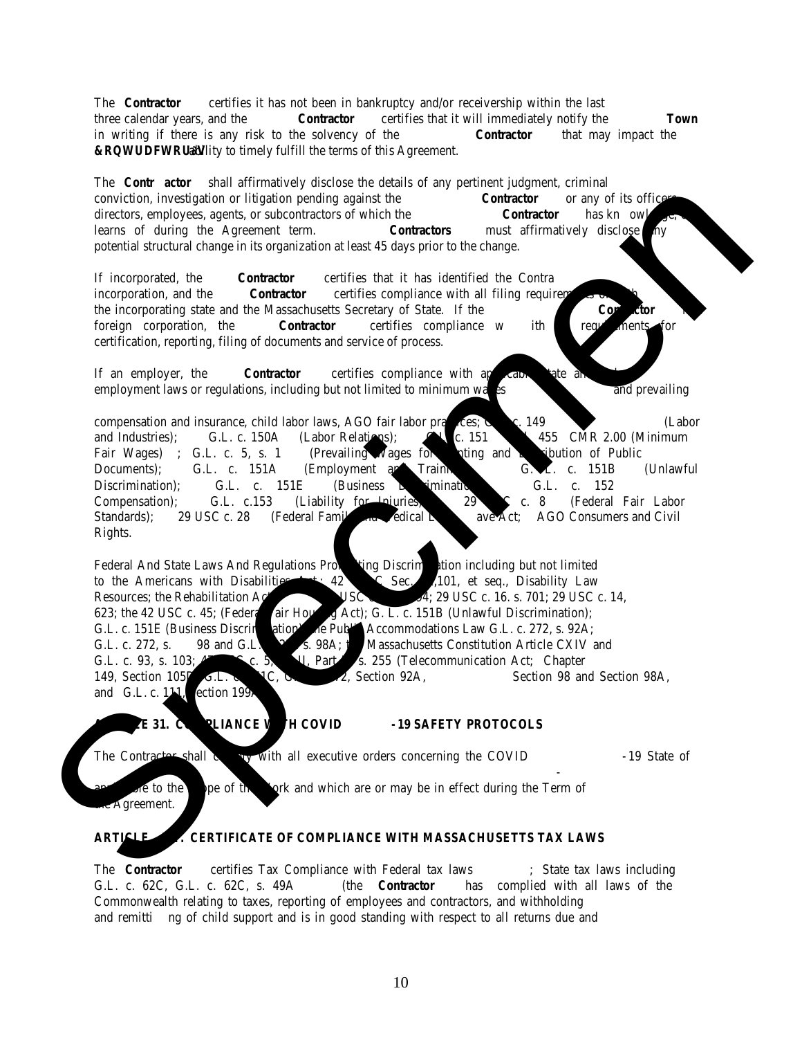Individual Authorized to Contractually Bind the Company (This will be the individual whose name and title will appear in the contract and will execute the contract if the contract is awarded to the company):

- 1. Has the bid been signed by a person legally authorized to commit the bidder (Company) to contract, if awarded?  $\Box$  Yes  $\Box$  No
- 2. The bidder represents and warrants that the Company is authorized to conduct business in the Commonwealth of Massachusetts in the manner contemplated by this bid.  $\Box$  Yes  $\Box$  No
- 3. Is the bidder prepared to provide the insurances as required?  $\Box$  Yes  $\Box$  No
- 4. Is the bidder a legally define small/woman/minority owned business?  $\Box$  Yes  $\Box$  No If yes, please attach the documentation to this form.
- 5. Has the bidder placed any conditions and/or restrictions on that which is called out by the Town in its bid package or any addendum?  $\prod$  Yes  $\prod$  No
- 6. If the answer to #5 (above) was YES, have the conditions and/or restrictions been put in writing and included with the submission?  $\Box$  Yes  $\Box$  No  $\Box$  N.A. (A "No" response may be cause for rejection)
- 7. Are there any exceptions to the Town's specifications?  $\Box$  Yes  $\Box$  No
- 8. If the answer to #7 (above) was YES, have the exceptions been put in writing and included with the submission?  $\Box$  Yes  $\Box$  No  $\Box$  N.A. (A "No" response may be cause for rejection)
- 9. Is the bidder presently debarred, suspended, proposed for debarment, declared ineligible, or voluntarily excluded from any activity contemplated by this bid by and Federal or State department or agency in the last five (5) years preceding this bid?  $\Box$  Yes  $\Box$  No (A "Yes" response may be cause for rejection). If yes, please describe the situation(s). Please attach the writing to this form.
- 10. The bidder confirms that neither it, nor any of its members, directors, officers, shareholders, partners, managers, principal officers, or employees have, within the three (3) years preceding this bid, in their current or former job, been convicted of, or had a civil judgment rendered against them or any of their current partners or managers, principal officers or any person who would perform any services contemplated by this BID, for commission of fraud or a criminal offense in connection with obtaining, attempting to obtain, or performing a public (Federal, State or local) transaction or contract. This includes, but is not limited to, violation of Federal or state antitrust statutes or commission of embezzlement, theft, forgery, bribery, falsification, or destruction of records, making false statements, or receiving stolen property?  $\Box$  Yes  $\Box$  No (A "Yes" response may be cause for rejection). If yes, please describe the situation(s), disclose whether the individual(s) is/are still engaged with the company. Please attach the writing to this form.
- 11. Has the bidder had any contract with a municipality terminated (whether for convenience, non-performance, or any other reason), or has the bidder entered into legal action with a customer, on or after July 1, 2017?  $\Box$  Yes  $\Box$  No (A "Yes" response may be cause for rejection). If yes, please describe the situation(s) and include the name and address of the municipality(ies). Please attach the writing to this form.
- 12. Has the bidder requested any changes to the Town's contract?  $\Box$  Yes  $\Box$  No (if "yes" the changes must be attached to this form).
- 13. Is the Bidder prepared to execute the Town's contract as written if awarded?  $\Box$  Yes  $\Box$  No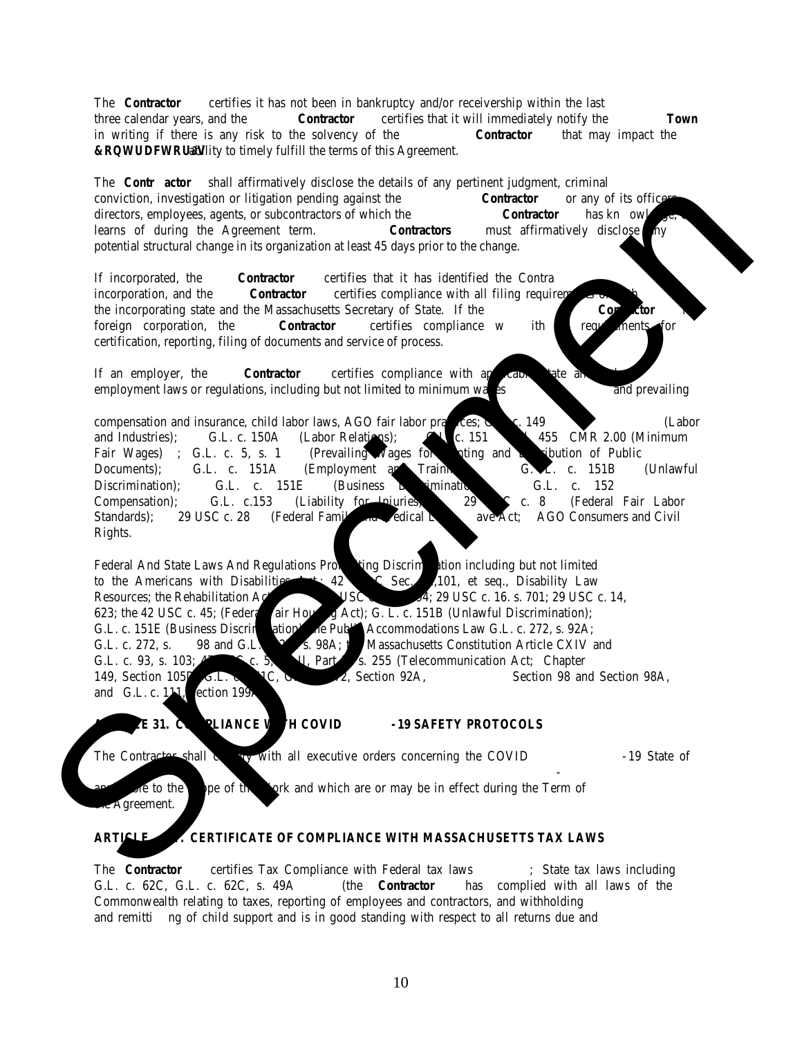Signature of the Bidder: \_\_\_\_\_\_\_\_\_\_\_\_\_\_\_\_\_\_\_\_\_\_\_\_\_\_\_\_\_\_\_\_\_\_\_\_\_\_\_\_\_\_\_\_\_\_\_\_\_\_\_\_\_

Printed Name and Title of Signatory: \_\_\_\_\_\_\_\_\_\_\_\_\_\_\_\_\_\_\_\_\_\_\_\_\_\_\_\_\_\_\_\_\_\_\_\_\_\_\_\_\_\_\_

Date:  $\frac{2}{\sqrt{2\pi}}$ 

**THIS FORM MUST BE FILED WITH BID SUBMISSION**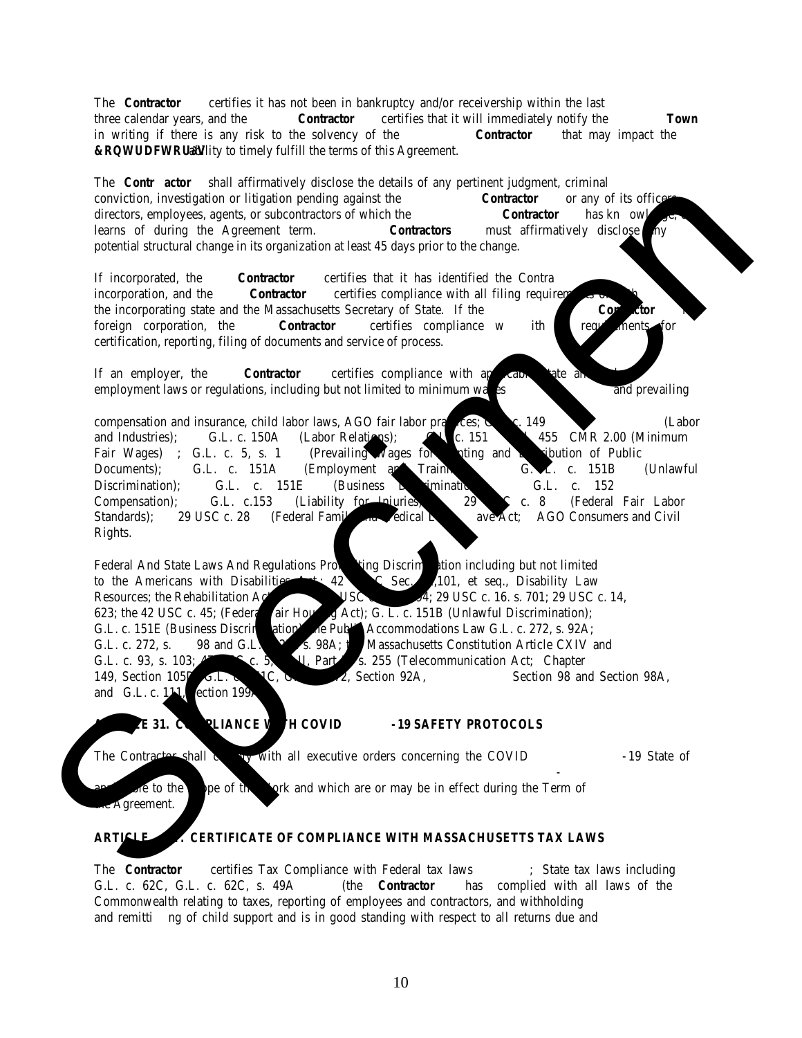#### **CERTIFICATE OF GOOD FAITH Jackets, Work Shirts, and Other Clothing Items 23NEE005G**

The undersigned hereby certifies that s/he will comply with all laws and regulations applicable to awards made subject to Massachusetts General Laws, Chapter 30B.

The undersigned certifies under penalties of perjury that this bid or proposal has been made and submitted in good faith and without collusion or fraud with any other person. As used in this certification, the word "person" shall mean any natural person, business, partnership, corporation, union, committee, club, or other organization, entity, or group of individuals.

| Signature of individual submitting the bid or proposal                                                                                                                                                      |                                                           |        |
|-------------------------------------------------------------------------------------------------------------------------------------------------------------------------------------------------------------|-----------------------------------------------------------|--------|
| Individual Full Name (Print/Type)                                                                                                                                                                           |                                                           |        |
| Name of Business (Print/Type)                                                                                                                                                                               |                                                           | (Date) |
|                                                                                                                                                                                                             | <b>Two Witnesses or Notary</b>                            |        |
| Witness One Signature                                                                                                                                                                                       | Witness Two Signature                                     |        |
| Witness One Full Name (Print/Type)                                                                                                                                                                          | Witness Two Full Name (Print/Type)                        |        |
| <b>Witness One Primary Address</b>                                                                                                                                                                          | Witness Two Primary Address                               |        |
| <b>Commonwealth of Massachusetts</b>                                                                                                                                                                        | <b>OR</b><br>County of                                    |        |
| On this _____ day of ________, 20____, before me, the undersigned notary public, personally appeared<br>(name of document signer), proved to me through satisfactory evidence of identification, which were |                                                           |        |
| to be the person whose name is signed on the preceding or attached document, and acknowledged to the person whose name is signed on the preceding or attached document, and acknowledged to                 |                                                           |        |
| me that (he) (she) signed it voluntarily for its stated purpose.                                                                                                                                            |                                                           |        |
| as partner for ________________________, a partnership.                                                                                                                                                     |                                                           |        |
|                                                                                                                                                                                                             |                                                           |        |
| as attorney in fact for ______________________, the principal.                                                                                                                                              |                                                           |        |
|                                                                                                                                                                                                             |                                                           |        |
| (official signature and seal of notary)                                                                                                                                                                     |                                                           |        |
|                                                                                                                                                                                                             |                                                           |        |
|                                                                                                                                                                                                             | THIS FORM MUST BE COMPLETED AND FILED WITH THE SUBMISSION |        |
|                                                                                                                                                                                                             |                                                           |        |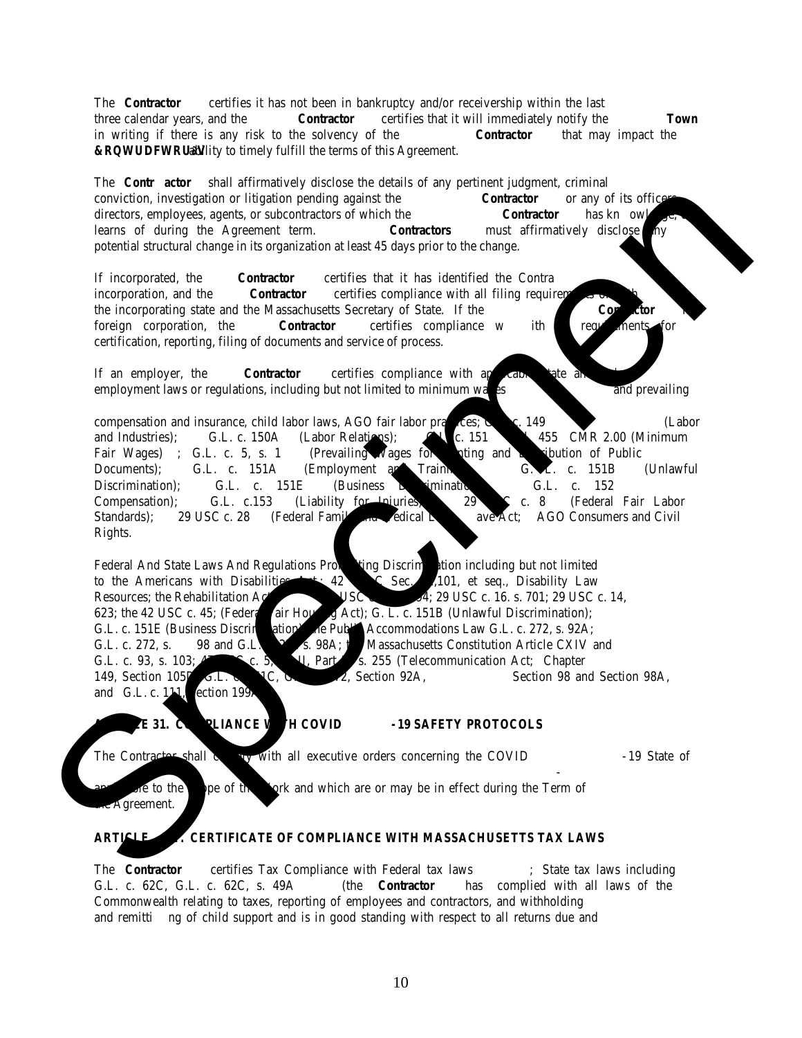## **CERTIFICATE OF COMPLIANCE WITH MASSACHUSETTS TAX LAWS**

Certificate of Good Standing issued by the Massachusetts Department of Revenue dated no earlier than 90 days before the bid submission deadline may be submitted in place of this certificate.

Pursuant to M.G.L. c.62C, §49A , the undersigned acting on behalf of the Contractor\* certifies under the penalties of perjury that the Contractor is in compliance with all laws of the Commonwealth relating to taxes including payment of all local taxes, fees, assessments, betterments and any other local or municipal charges (unless the Contractor has a pending abatement application or has entered into a payment agreement with the entity to which such charges were owed), reporting of employees and contractors, and withholding and remitting child support.\*\*

|                   | Corporation, Association or Partnership:                                                                                                                                                                                              |                                                                                                                                                                                                                                                                                                |
|-------------------|---------------------------------------------------------------------------------------------------------------------------------------------------------------------------------------------------------------------------------------|------------------------------------------------------------------------------------------------------------------------------------------------------------------------------------------------------------------------------------------------------------------------------------------------|
|                   | (Print)                                                                                                                                                                                                                               |                                                                                                                                                                                                                                                                                                |
|                   | Federal Tax ID Number or Social Security Number:<br>the control of the control of the control of the control of the control of the control of                                                                                         |                                                                                                                                                                                                                                                                                                |
|                   |                                                                                                                                                                                                                                       |                                                                                                                                                                                                                                                                                                |
|                   |                                                                                                                                                                                                                                       |                                                                                                                                                                                                                                                                                                |
|                   | Note to Contractor***: Please sign at $(1)$ or $(2)$ , whichever applies.                                                                                                                                                             |                                                                                                                                                                                                                                                                                                |
| applicable item): | 1. ____ has filed all tax returns and paid all taxes required by law; or<br>2. ____ has filed a pending application for abatement of such tax; or<br>3. has a pending petition before the appellate tax board contesting such tax; or | In order to comply with all laws of the Commonwealth relating to taxes, the undersigned certifies that Contractor (check<br>4. ____ does not derive taxable income from Massachusetts Sources such that it is subject to taxation by the Commonwealth                                          |
|                   | committee, club, or other organization, entity, or group of individuals.<br>* The provision in this Certification relating to child support applies only when the Contractor is an individual.                                        | * As used in this certification, the word "Contractor" shall mean any natural person, business, partnership, corporation, union,<br>$\star \star$ A concern of a contrast on other concerns on will not be connected and the Treasure of Mac theory accepted a change of the connected and $f$ |

\*\*\* Approval of a contract or other agreement will not be granted until the Town of Needham receives a signed copy of this Certification.

THIS FORM MUST BE FILED WITH BID SUBMISSION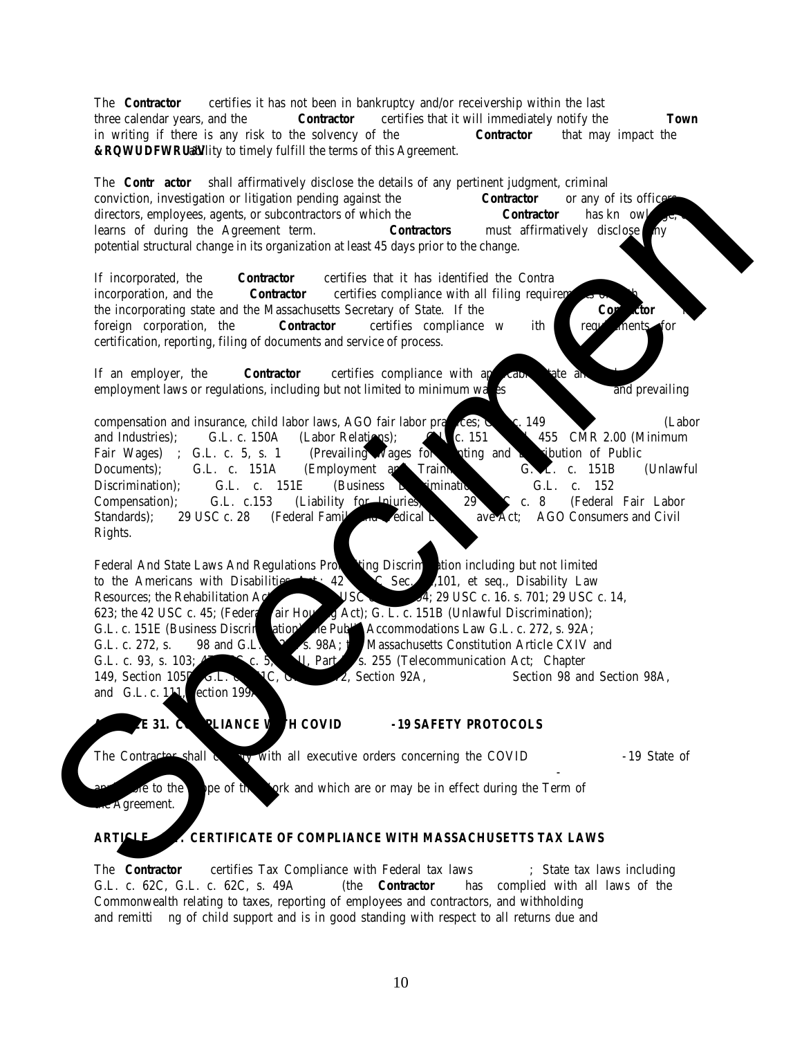## PROMISE TO EXECUTE CONTRACT

The undersigned hereby certifies that following individual(s) is/are authorized to execute and bind the firm to a contract with the Town of Needham, and that if awarded\* the contract will be executed electronically. It is understood that the Town will forward the contract to be executed via DocuSign to the **identified individual(s) and that no other person on behalf of the firm must sign the contract to become binding on the firm.**

 $\frac{1}{2}$  ,  $\frac{1}{2}$  ,  $\frac{1}{2}$  ,  $\frac{1}{2}$  ,  $\frac{1}{2}$  ,  $\frac{1}{2}$  ,  $\frac{1}{2}$  ,  $\frac{1}{2}$  ,  $\frac{1}{2}$  ,  $\frac{1}{2}$  ,  $\frac{1}{2}$  ,  $\frac{1}{2}$  ,  $\frac{1}{2}$  ,  $\frac{1}{2}$  ,  $\frac{1}{2}$  ,  $\frac{1}{2}$  ,  $\frac{1}{2}$  ,  $\frac{1}{2}$  ,  $\frac{1$ 

Signature of individual submitting the bid (Date)

Individual Full Name (Print/Type)

Name and title of the individual who will execute the contract on behalf of the company if the Town awards the contract to the company (please print/type information):

Name:  $\Box$ 

\_\_\_\_\_\_\_\_\_\_\_\_\_\_\_\_\_\_\_\_\_\_\_\_\_\_\_\_\_\_\_\_\_\_\_\_\_\_\_\_\_\_\_

Title:

Email address to send the Contract: \_\_\_\_\_\_\_\_\_\_\_\_\_\_\_\_\_\_\_\_\_\_\_\_\_\_\_\_\_\_\_\_\_\_\_\_\_\_\_\_\_\_\_\_\_\_\_\_\_\_\_

Name of the Individual who will sign CERTIFICATE OF COMPLIANCE WITH MASSACHUSETTS TAX LAWS section of the contract, if different from the individual who will sign the contract:

Name: \_\_\_\_\_\_\_\_\_\_\_\_\_\_\_\_\_\_\_\_\_\_\_\_\_\_\_\_\_\_\_\_\_\_\_\_\_

Title:

Email Account to Send Contract:

\*The award may be subject to further discussions with the bidder. The making of a preliminary award to a bidder does not provide the bidder with any rights and does not impose upon the Town any obligations. The Town is free to withdraw a preliminary award at any time and for any reason. A proposer has rights, and the Town has obligations, only if and when a contract is executed by the Town and the bidder.

\_\_\_\_\_\_\_\_\_\_\_\_\_\_\_\_\_\_\_\_\_\_\_\_\_\_\_\_\_\_\_\_\_\_\_\_\_\_\_\_\_\_\_\_\_\_\_\_\_\_\_\_\_\_\_\_\_\_\_\_\_\_\_\_\_\_\_\_\_\_\_\_\_\_\_\_\_\_\_\_\_\_\_\_\_\_\_\_\_\_\_\_\_\_\_\_\_\_\_\_\_\_\_\_

\_\_\_\_\_\_\_\_\_\_\_\_\_\_\_\_\_\_\_\_\_\_\_\_\_\_\_\_\_\_\_\_\_\_\_\_\_\_\_\_\_\_\_\_\_\_\_\_\_\_\_\_\_\_\_\_\_\_\_\_\_\_\_\_\_\_\_\_\_\_\_\_\_\_\_\_\_\_\_\_\_\_\_\_\_\_\_\_\_\_\_\_\_\_\_\_\_\_\_\_\_\_\_\_

We request a waiver from this requirement for the following reason:

\_\_\_\_\_\_\_\_\_\_\_\_\_\_\_\_\_\_\_\_\_\_\_\_\_\_\_\_\_\_\_\_\_\_\_\_\_\_\_\_\_\_\_\_\_\_\_\_\_

THIS FORM MUST BE FILED WITH BID SUBMISSION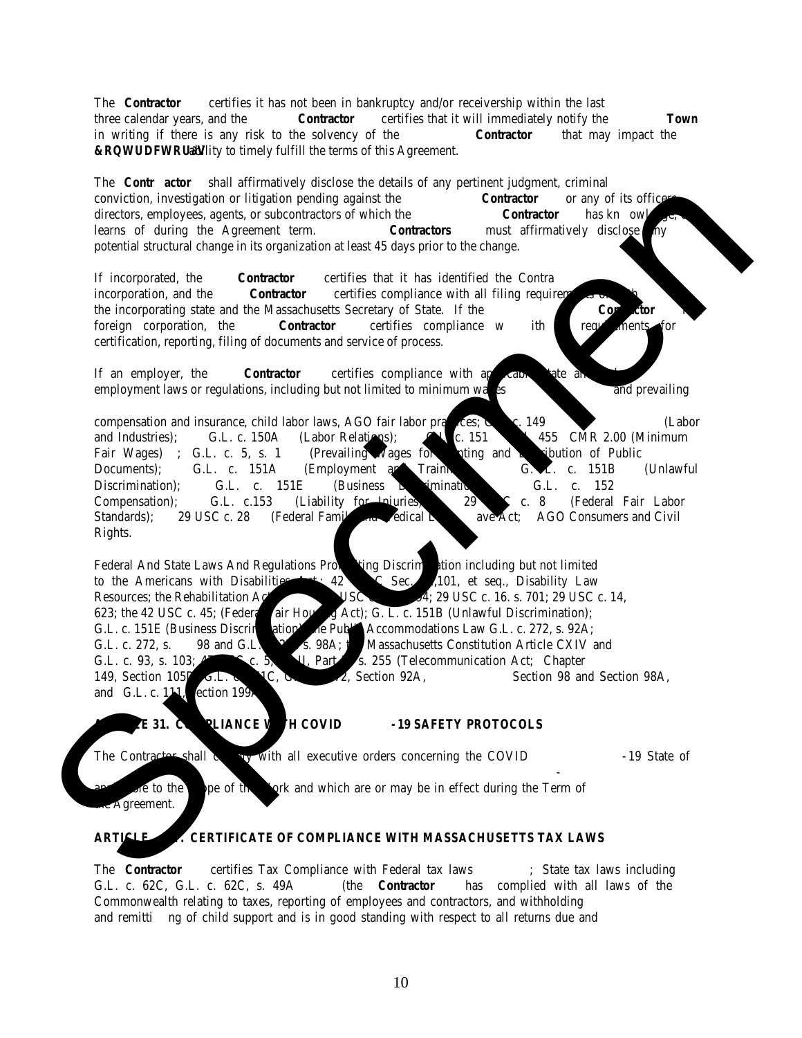| <b>Professional References</b>                 |
|------------------------------------------------|
| Jackets, Work Shirts, and Other Clothing Items |
| <b>23NEE005G</b>                               |

| Period of Service: ___________________________through __________________________ |  |
|----------------------------------------------------------------------------------|--|
|                                                                                  |  |
|                                                                                  |  |
|                                                                                  |  |
|                                                                                  |  |
|                                                                                  |  |
|                                                                                  |  |
|                                                                                  |  |
| Description of Items/Services Provided:                                          |  |

**(A minimum of five (5) references required, governmental clients preferred)**

THIS FORM OR SUBSTITUTE WITH THE REQUESTED INFORMATION MUST BE FILED WITH BID SUBMISSION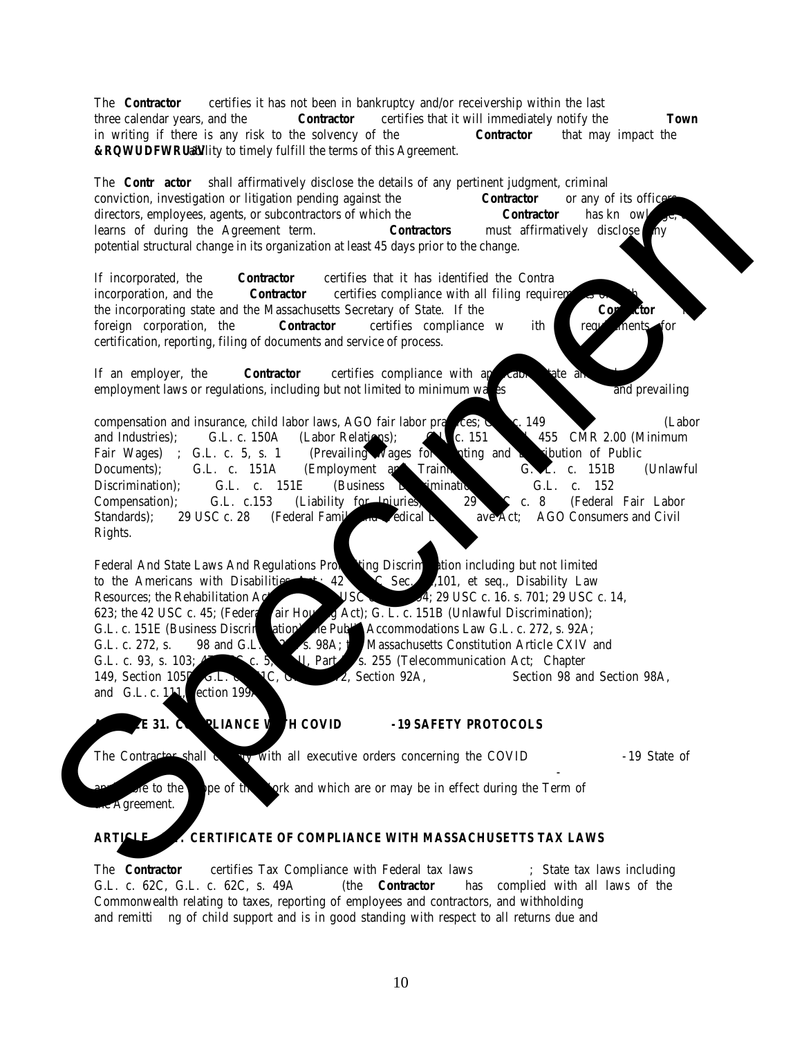## **CERTIFICATE OF AUTHORITY**

| 1. | I hereby certify that I am the Clerk/Secretary of ______________________________                                                                                                                                                                                                                                                                                                                                                                                                                 |
|----|--------------------------------------------------------------------------------------------------------------------------------------------------------------------------------------------------------------------------------------------------------------------------------------------------------------------------------------------------------------------------------------------------------------------------------------------------------------------------------------------------|
|    | (Insert full name of Corporation)                                                                                                                                                                                                                                                                                                                                                                                                                                                                |
| 2. |                                                                                                                                                                                                                                                                                                                                                                                                                                                                                                  |
| 3. |                                                                                                                                                                                                                                                                                                                                                                                                                                                                                                  |
| 4. | of said corporation, and that on $\overline{\hspace{2cm}}$ (The date must be ON OR BEFORE the date the officer signed the <b>contract</b><br>and bonds.)                                                                                                                                                                                                                                                                                                                                         |
|    | at a duly authorized meeting of the Board of Directors of said corporation, at which all the directors were present or<br>waived notice, it was voted that                                                                                                                                                                                                                                                                                                                                       |
| 5. | (Insert <b>name</b> from line 2) the $\frac{1}{2}$ (Insert <b>title</b> from line 3)                                                                                                                                                                                                                                                                                                                                                                                                             |
|    |                                                                                                                                                                                                                                                                                                                                                                                                                                                                                                  |
|    | of this corporation be and hereby is authorized to execute contracts and bonds in the name and on behalf of said<br>corporation, and affix its Corporate Seal thereto, and such execution of any contract of obligation in this corporation's<br>name and on its behalf, with or without the Corporate Seal, shall be valid and binding upon this corporation; and that the<br>above vote has not been amended or rescinded and remains in full force and effect as of the date set forth below. |
|    | <b>AFFIX CORPORATE</b><br><b>SEAL HERE</b>                                                                                                                                                                                                                                                                                                                                                                                                                                                       |
|    | 7. Name: $\frac{1}{\text{(Please print or type name in line 6)}$                                                                                                                                                                                                                                                                                                                                                                                                                                 |
|    | (Insert a date that is ON OR AFTER the date the<br>officer signed the <b>contract and bonds.</b> )                                                                                                                                                                                                                                                                                                                                                                                               |

\* The name and signature inserted in lines 6 & 7 must be that of the Clerk or Secretary of the corporation.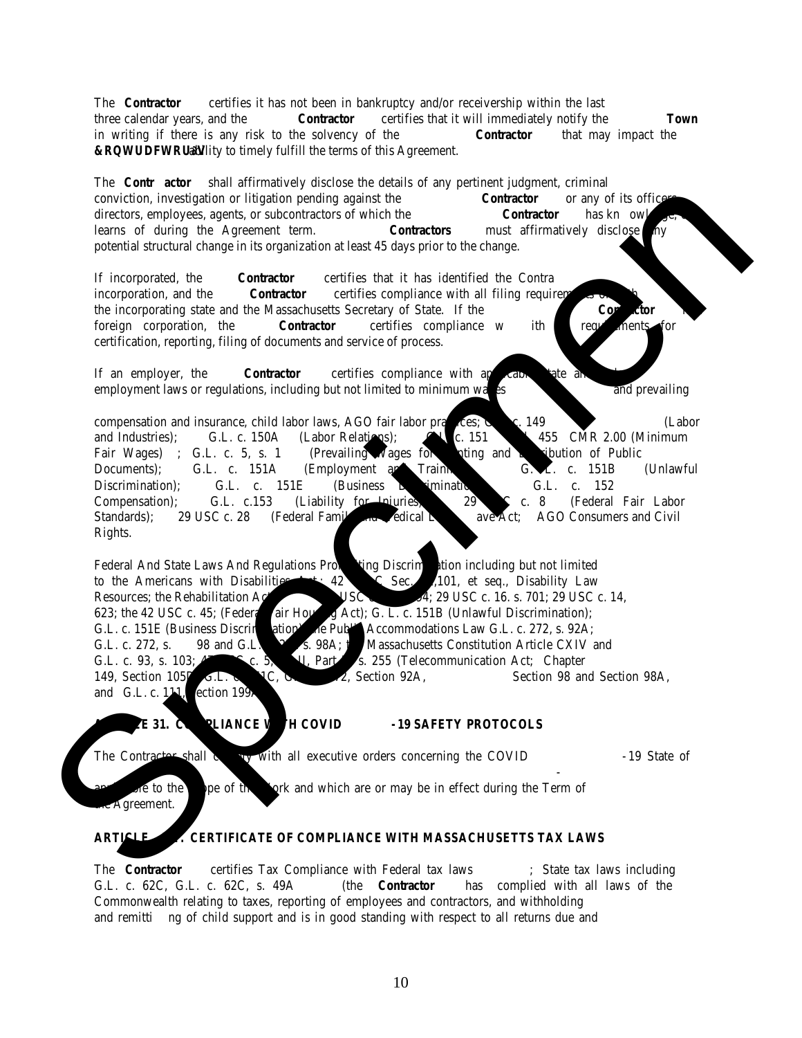## **Bid Form Jackets, Work Shirts, and Other Clothing Items 23NEE005G**

The **Bid Form** or an exact copy is to be signed by the individual authorized to negotiate for and contractually bind the company. Failure to fully complete the form, provide the requested information, or make any alterations will be considered a **conditional bid** and the proposal will be **rejected.**

All questions must be answered, and the data given must be clear and comprehensive. Please type or print legibly. If necessary, add additional sheet for starred items. This information will be utilized by the Town for purposes of determining bidder responsiveness and responsibility with regard to the requirements and specifications of the Contract.

The bidder agrees with submission of this bid that the offer is effective for (a) at least ninety (90) calendar days from the opening date of the bids (b) a contract is executed, or (c) this bid is cancelled, whichever of (a), (b), or (c) occurs first.

## **Please provide a unit price for all items or indicate "not available" as applicable.**

| Item A.1                              | <b>Brand offered</b>     |                   | Style No.    |
|---------------------------------------|--------------------------|-------------------|--------------|
| T-shirts 50/50 Blend -short<br>sleeve |                          |                   |              |
| Sizes:                                | Estimated<br>(A)<br>Qty. | (B)<br>Unit Price | (C)<br>Total |
| XXS-XL                                | 630                      | P                 | э            |
| $2XL-5XL$                             | 42                       | ¢<br>Ф            | D            |

| Item A.2                              | <b>Brand offered</b>     | Style No.         |              |
|---------------------------------------|--------------------------|-------------------|--------------|
| T-shirt 100% Cotton - short<br>sleeve |                          |                   |              |
| Sizes:                                | Estimated<br>(A)<br>Qty. | (B)<br>Unit Price | (C)<br>Total |
| XXS-XL                                | 424                      | \$                | \$           |
| $2XL-5XL$                             | \$<br>200                |                   | \$           |
|                                       |                          |                   |              |

| <b>Optional – Tri-Blend Option</b><br>20<br>(not required for award) |
|----------------------------------------------------------------------|
|----------------------------------------------------------------------|

| Item A.3                             | <b>Brand offered</b>     |                   | Style No.    |
|--------------------------------------|--------------------------|-------------------|--------------|
| T-shirt 100% Cotton - long<br>sleeve |                          |                   |              |
| Sizes:                               | Estimated<br>(A)<br>Qty. | (B)<br>Unit Price | (C)<br>Total |
| XXS-XL                               | 418                      | \$                | \$           |
| $2XL-5XL$                            | 120                      | \$                | \$           |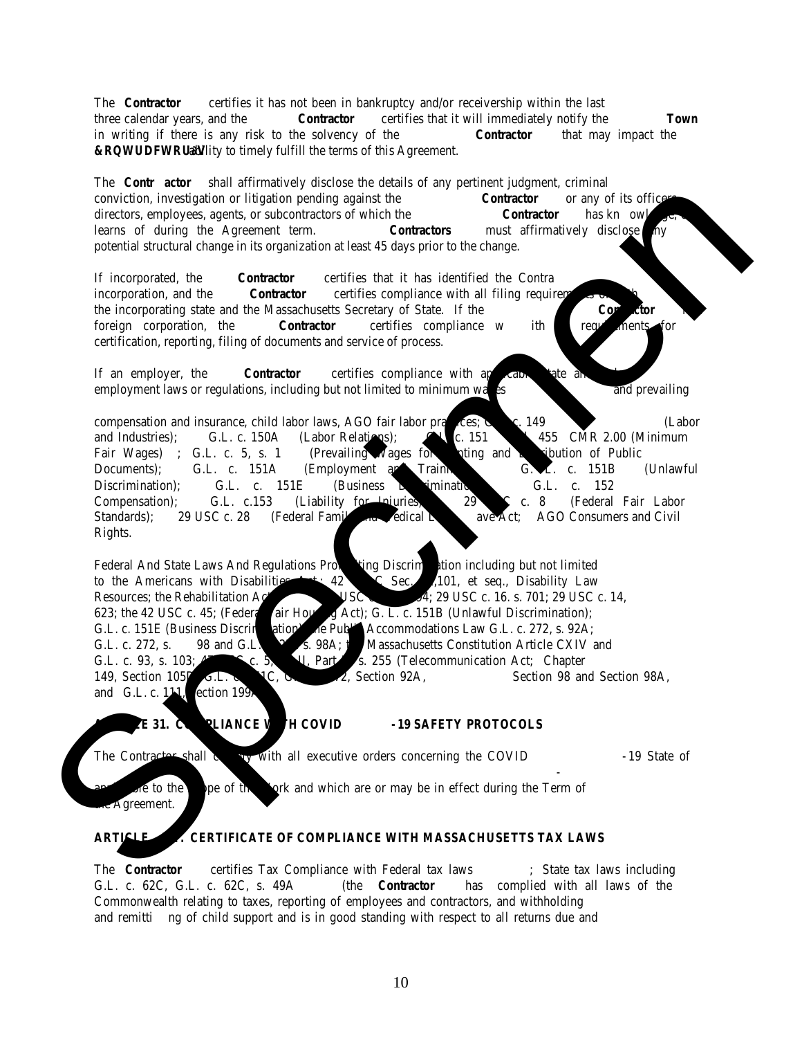| Item A.4                            | <b>Brand offered</b>     | Style No.         |              |
|-------------------------------------|--------------------------|-------------------|--------------|
| <b>Women's short sleeve T-shirt</b> |                          |                   |              |
| Sizes:                              | Estimated<br>(A)<br>Qty. | (B)<br>Unit Price | (C)<br>Total |
| XXS-XL                              | 158                      | \$                | \$           |
| $2XL-5XL$                           | 20                       | \$                | \$           |

| Item B.1                      | <b>Brand offered</b>     |                   | Style No.    |
|-------------------------------|--------------------------|-------------------|--------------|
| <b>Men's Pique Polo Shirt</b> |                          |                   |              |
| Sizes:                        | Estimated<br>(A)<br>Qty. | (B)<br>Unit Price | (C)<br>Total |
| XXS-XL                        | 205                      | \$                | S            |
| $2XL-5XL$                     | 29                       | \$                | \$           |

| Item B.2                  | <b>Brand offered</b>     |                   | Style No. |       |
|---------------------------|--------------------------|-------------------|-----------|-------|
| <b>Women's Polo Shirt</b> |                          |                   |           |       |
| Sizes:                    | Estimated<br>(A)<br>Qty. | (B)<br>Unit Price | (C)       | Total |
| XXS-XL                    | 159                      | P                 | \$        |       |
| $2XL-5XL$                 | 13                       | Φ<br>Ф            | S         |       |

| Item C.1                   | <b>Brand offered</b>     |                   | Style No. |       |
|----------------------------|--------------------------|-------------------|-----------|-------|
| <b>Men's Fleece Jacket</b> |                          |                   |           |       |
| Sizes:                     | Estimated<br>(A)<br>Qty. | (B)<br>Unit Price | (C)       | Total |
| XXS-XL                     | 58                       | \$                | \$        |       |
| $2XL-5XL$                  | 16                       | \$                | \$        |       |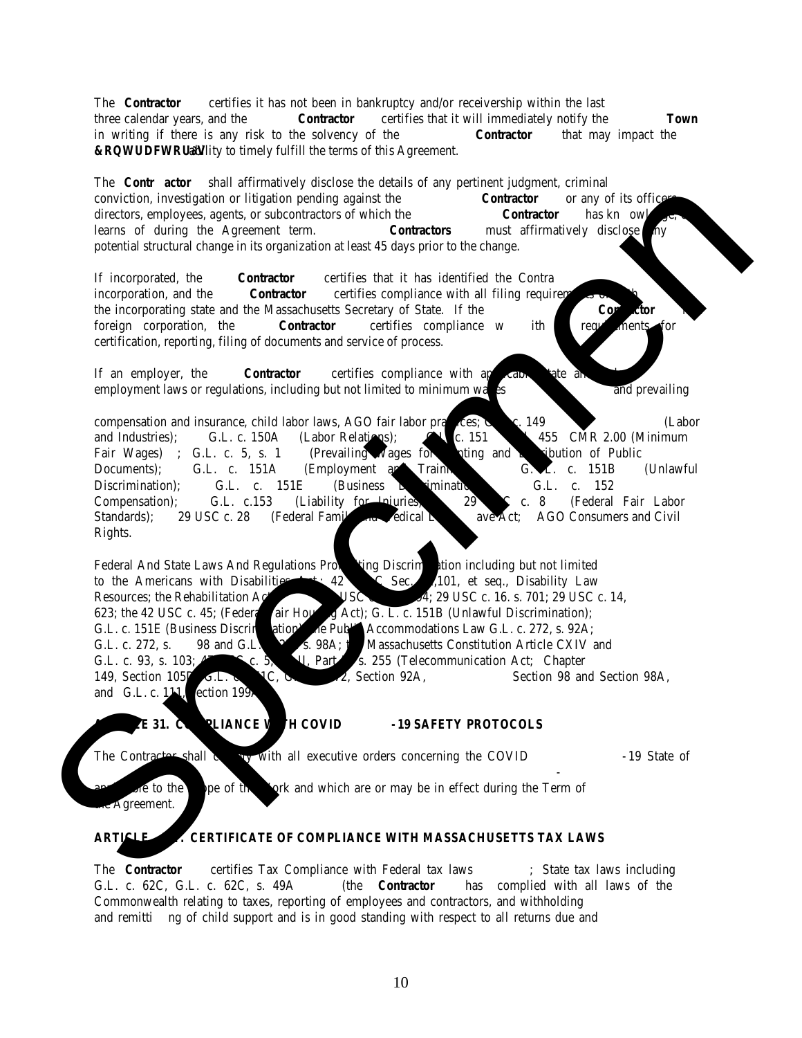| Item C.2                     | <b>Brand offered</b>     |                   | Style No. |       |
|------------------------------|--------------------------|-------------------|-----------|-------|
| <b>Women's Fleece Jacket</b> |                          |                   |           |       |
| Sizes:                       | Estimated<br>(A)<br>Qty. | (B)<br>Unit Price | (C)       | Total |
| XXS-XL                       | 56                       | \$                | \$        |       |
| $2XL-5XL$                    |                          | \$                | S         |       |

| Item D.1                 | <b>Brand offered</b>     |                   | Style No. |       |
|--------------------------|--------------------------|-------------------|-----------|-------|
| <b>Men's Fleece Vest</b> |                          |                   |           |       |
| Sizes:                   | Estimated<br>(A)<br>Qty. | (B)<br>Unit Price | (C)       | Total |
| XXS-XL                   | 19                       | \$                | \$        |       |
| $2XL-5XL$                | 6                        | \$                | \$        |       |

| Item D.2                   | <b>Brand offered</b>     |                   | Style No. |       |
|----------------------------|--------------------------|-------------------|-----------|-------|
| <b>Women's Fleece Vest</b> |                          |                   |           |       |
| Sizes:                     | Estimated<br>(A)<br>Qty. | (B)<br>Unit Price | (C)       | Total |
| XXS-XL                     | 28                       | \$                | \$        |       |
| $2XL-5XL$                  | 4                        | \$                | \$        |       |

| Item E.1                               |                          | <b>Brand offered</b> |     | Style No. |
|----------------------------------------|--------------------------|----------------------|-----|-----------|
| Sweatshirts 9 oz. -<br><b>CREWNECK</b> |                          |                      |     |           |
| Sizes:                                 | Estimated<br>(A)<br>Qty. | (B)<br>Unit Price    | (C) | Total     |
| XXS-XL                                 | 25                       | \$                   | \$  |           |
| $2XL-5XL$                              | 14                       | \$                   | \$  |           |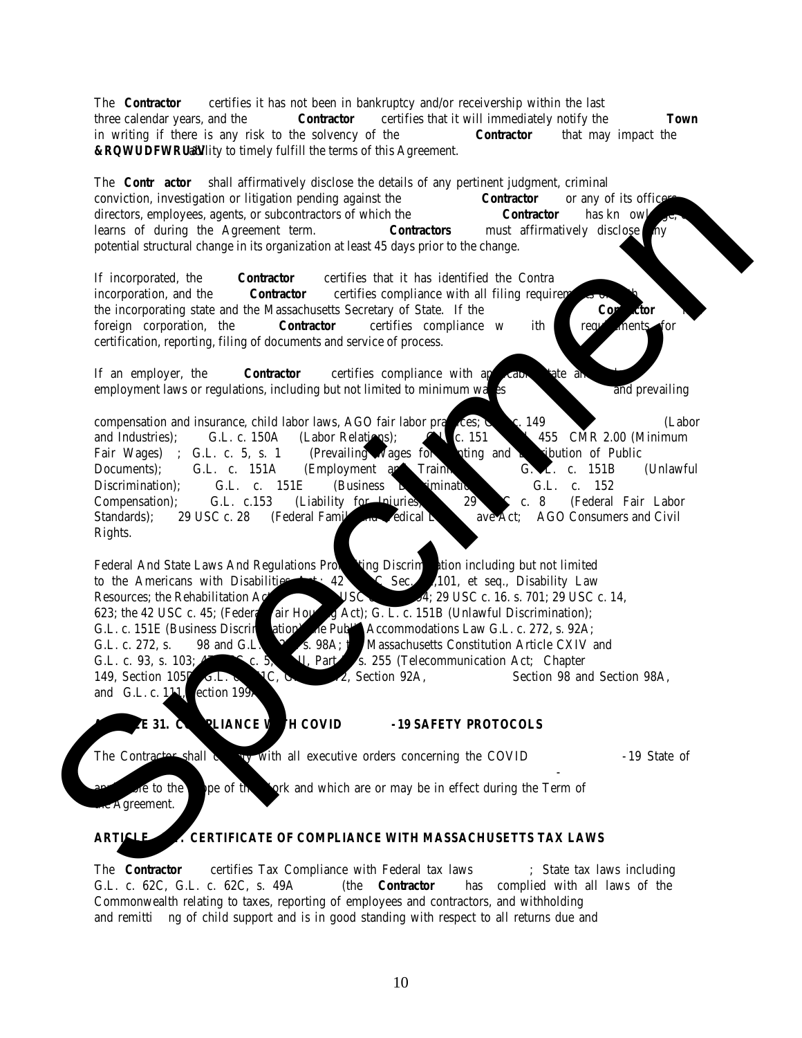| Item E.2                                      |                          | <b>Brand offered</b>     |     | Style No. |
|-----------------------------------------------|--------------------------|--------------------------|-----|-----------|
| Sweatshirts 9 oz. -<br><b>PULLOVER HOODIE</b> |                          |                          |     |           |
| Sizes:                                        | Estimated<br>(A)<br>Qty. | (B)<br><b>Unit Price</b> | (C) | Total     |
| XXS-XL                                        | 641                      | э                        | S.  |           |
| $2XL-5XL$                                     | 31                       | э                        | \$  |           |

| Item E.3                                      | <b>Brand offered</b>     |                   |     | Style No. |
|-----------------------------------------------|--------------------------|-------------------|-----|-----------|
| Sweatshirts 9 oz. - FULL ZIP<br><b>HOODIE</b> |                          |                   |     |           |
| Sizes:                                        | Estimated<br>(A)<br>Qty. | (B)<br>Unit Price | (C) | Total     |
| XXS-XL                                        | 103                      | \$                | D   |           |
| $2XL-5XL$                                     | 33                       | \$                | S   |           |

**Are all 9oz. Sweatshirts styles offered in Navy Blue?**

| Yes                                                  |                          |                   | No           |
|------------------------------------------------------|--------------------------|-------------------|--------------|
| Item F.1                                             | <b>Brand offered</b>     |                   | Style No.    |
| <b>Heavy Weight Sweatshirts -</b><br><b>CREWNECK</b> |                          |                   |              |
| Sizes:                                               | Estimated<br>(A)<br>Qty. | (B)<br>Unit Price | (C)<br>Total |
| XXS-XL                                               | 25                       | Ф                 | \$           |
| $2XL-5XL$                                            | 15                       | Ф                 | э            |

| Item F.2                                                    | <b>Brand offered</b>     |                   | Style No.    |
|-------------------------------------------------------------|--------------------------|-------------------|--------------|
| <b>Heavy Weight Sweatshirts -</b><br><b>PULLOVER HOODIE</b> |                          |                   |              |
| Sizes:                                                      | Estimated<br>(A)<br>Qty. | (B)<br>Unit Price | (C)<br>Total |
| XXS-XL                                                      | 55                       | \$                | \$           |
| $2XL-5XL$                                                   | 45                       | \$                | \$           |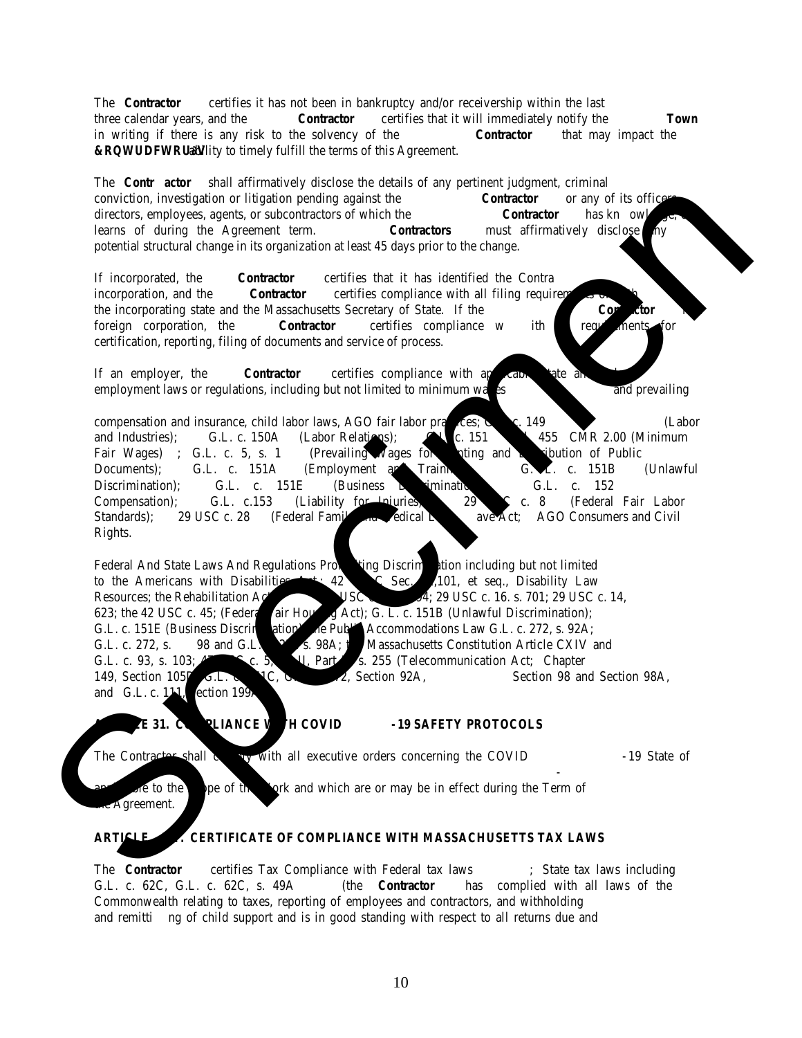| Item F.3                                                    | <b>Brand offered</b>     |                   | Style No.    |
|-------------------------------------------------------------|--------------------------|-------------------|--------------|
| <b>Heavy Weight Sweatshirts -</b><br><b>FULL ZIP HOODIE</b> |                          |                   |              |
| Sizes:                                                      | Estimated<br>(A)<br>Qty. | (B)<br>Unit Price | (C)<br>Total |
| XXS-XL                                                      | 45                       | \$                | J            |
| $2XL-5XL$                                                   | 25                       | \$                | D            |

**Are all 12oz. Sweatshirts styles offered in Navy Blue?**

Yes No

| Item G.1                                                  | <b>Brand offered</b>     |                   |     | Style No. |
|-----------------------------------------------------------|--------------------------|-------------------|-----|-----------|
| <b>Men's Button-Down Long</b><br><b>Sleeve Work Shirt</b> |                          |                   |     |           |
| Sizes:                                                    | Estimated<br>(A)<br>Qty. | (B)<br>Unit Price | (C) | Total     |
| XXS-XL                                                    | 10                       | \$                | \$  |           |
| $2XL-5XL$                                                 |                          | Φ<br>э            | э   |           |

| Item G.2                                                    |                          | <b>Brand offered</b>     |     | Style No. |  |
|-------------------------------------------------------------|--------------------------|--------------------------|-----|-----------|--|
| <b>Women's Button-Down Long</b><br><b>Sleeve Work Shirt</b> |                          |                          |     |           |  |
| Sizes:                                                      | Estimated<br>(A)<br>Qty. | (B)<br><b>Unit Price</b> | (C) | Total     |  |
| XXS-XL                                                      | 10                       | S                        | D   |           |  |
| $2XL-5XL$                                                   |                          | J                        | Ф   |           |  |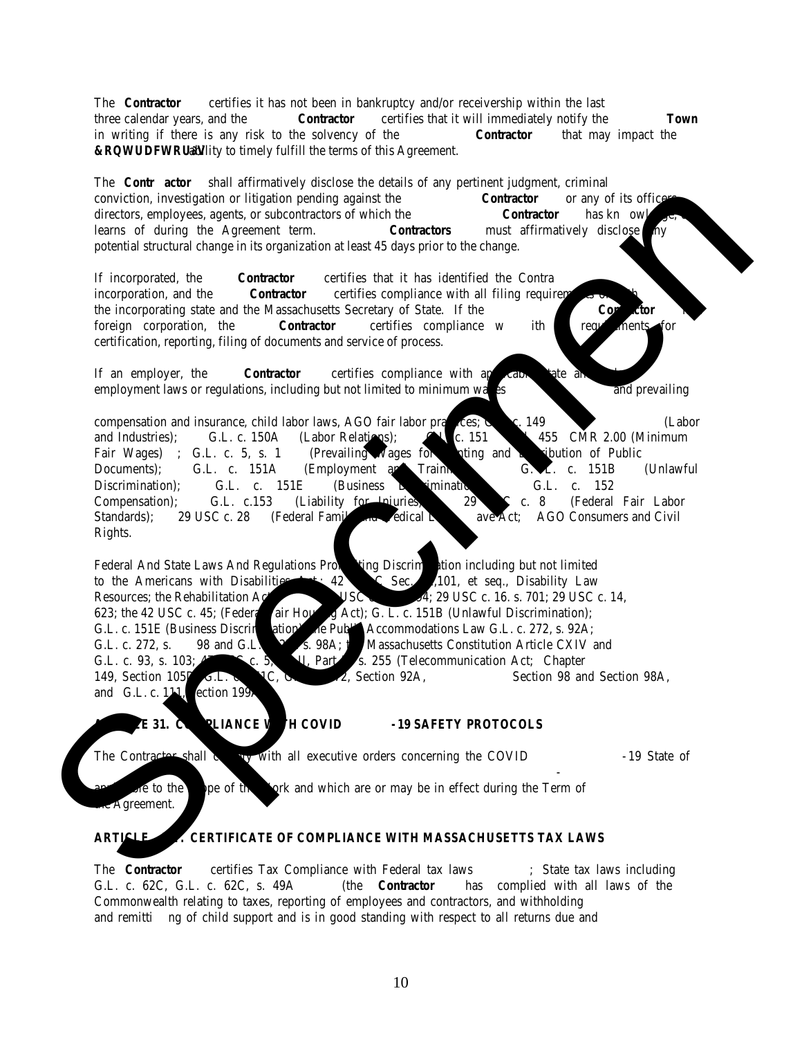| Minimum number of items ordered to fulfill Silk-Screen order: |  |
|---------------------------------------------------------------|--|
| Additional Charge per item for silk-screen on Back side \$    |  |
|                                                               |  |
| Minimum number of items ordered to fulfill embroidery order:  |  |
| The Grand Total \$                                            |  |
|                                                               |  |
|                                                               |  |

In the event that the unit price and the total price differ, the unit price shall prevail.

PROMPT PAY DISCOUNT (Not required but if NOT offering a discount indicate by writing "ZERO") The Town of Needham general payment terms are net 30 days. Enter the Prompt Payment Discount percentage (%) off the invoice amount, for each of the payment issue dates listed, if the payment is issued within the specified Payment Issue days. For example: 5% - 10 Days 4% - 15 Days 3% - 20 Days 2% - 30 Days

Note: The Prompt Payment Discount "Clock" begins at the date of receipt of the invoice, or the date of the receipt of the product or service, whichever occurs later.

 $\overline{\phantom{a}}$  , and the contribution of the contribution of the contribution of the contribution of the contribution of the contribution of the contribution of the contribution of the contribution of the contribution of the

The undersigned proposes to provide the **Jackets, Work Shirts, and Other Clothing Items** in accordance with the accompanying requirements provided by the Town dated May 5, 2022 and any addenda as may be issued by the Town and provided to the undersigned prior to the opening of the bids. In the event that the numeric price and the written price differ, the written price shall prevail.

The undersigned agrees that, if selected as vendor, s/he will within five days, Saturdays, Sundays, and legal holidays excluded, after presentation thereof by the Town, execute a contract in accordance with the terms of this bid. The undersigned hereby certifies that s/he is able to furnish labor that can work in harmony with all other elements of labor employed or to be employed on the work and that s/he will comply fully with all laws and regulations applicable to awards made subject to M.G.L. c.30B.

The undersigned further certifies under the penalties of perjury that this proposal is in all respects bona fide, fair, and made without collusion or fraud with any other person. As used in this subsection, the word "person" shall mean any natural person, business, partnership, corporation, union, committee, club, or other organization, group of individuals, or legal entity.

| (Name of Company) |  |
|-------------------|--|
|-------------------|--|

BY:

(Signature)

(Printed Name and Title of Signatory)

**End of Bid Price Form**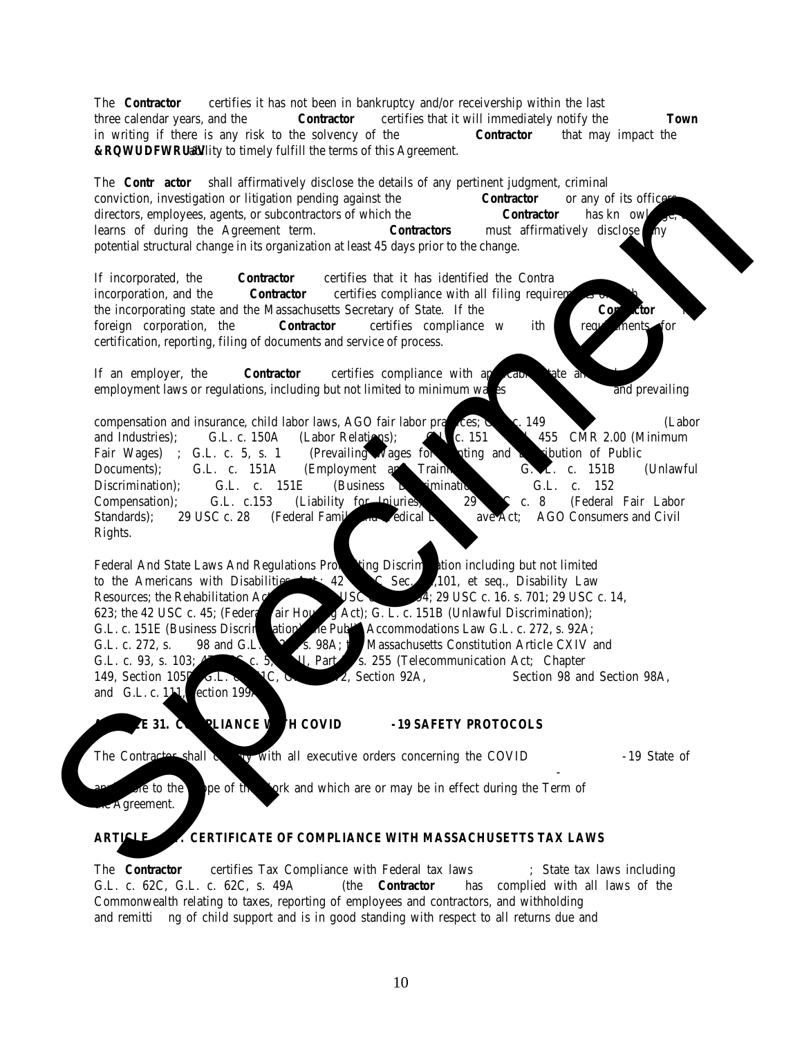## **Non-Submittal Response Form Jackets, Work Shirts, and Other Clothing Items 23NEE005G**

NOTE TO BIDDER: If your company's response is a "non-submittal", the Town of Needham is interested in the reason for such response since Town desires to ensure that the procurement process is fair, open, and attracts maximum participation from interested companies. We, therefore, appreciate your responses to this non-submittal response form.

## **Please complete and email this form to[: pcentral@needhamma.gov](mailto:pcentral@needhamma.gov)**

Please indicate your reason for responding with a "non-submittal":

| $\Box$                            | We were unable to meet requirements for this procurement.                             |
|-----------------------------------|---------------------------------------------------------------------------------------|
| $\Box$                            | We were unable to provide the goods or services requested in this procurement.        |
| □                                 | We were unable to meet time frame established for start and or completion of project. |
| $\Box$                            | We obtained the bid package too late in order to evaluate and submit a bid.           |
|                                   |                                                                                       |
| П                                 |                                                                                       |
|                                   |                                                                                       |
| the company of the company of the |                                                                                       |
|                                   |                                                                                       |
|                                   |                                                                                       |
|                                   |                                                                                       |
|                                   |                                                                                       |
|                                   |                                                                                       |
|                                   | Date:                                                                                 |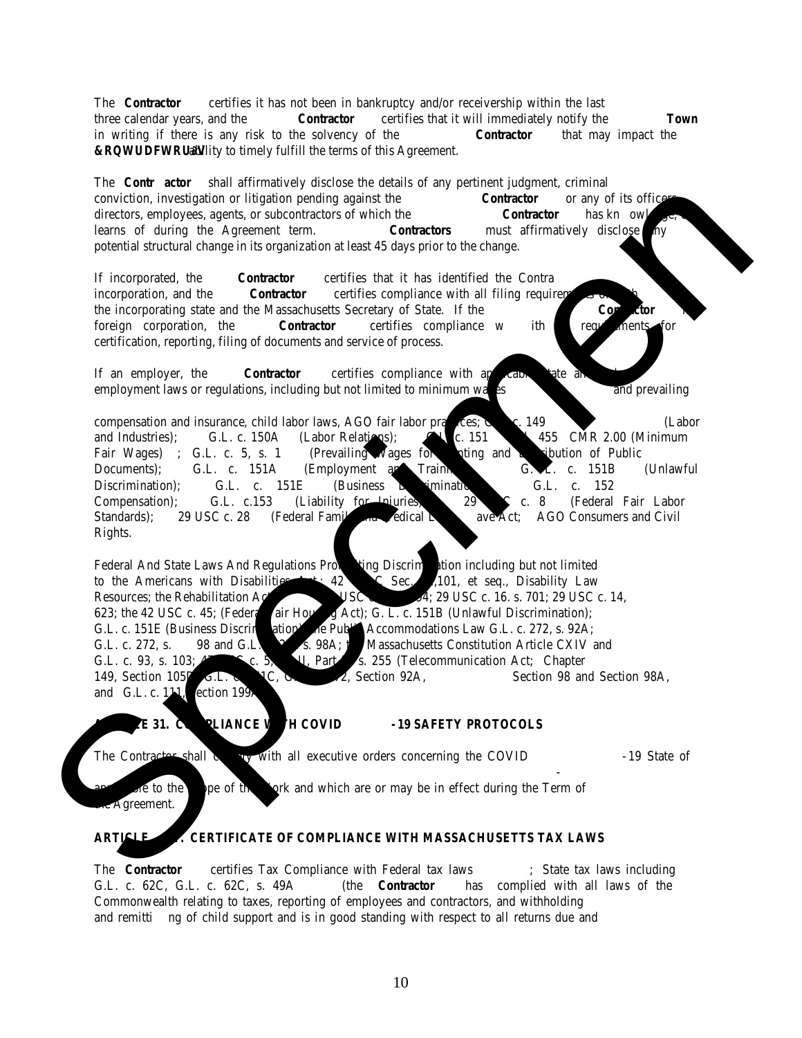## **Appendix A Jackets, Work Shirts, and Other Clothing Items 23NEE005G**

Town of Needham Logo:

2.75" In size (enlarged to show detail – jpeg or preferred format will be provided to awarded contractor)

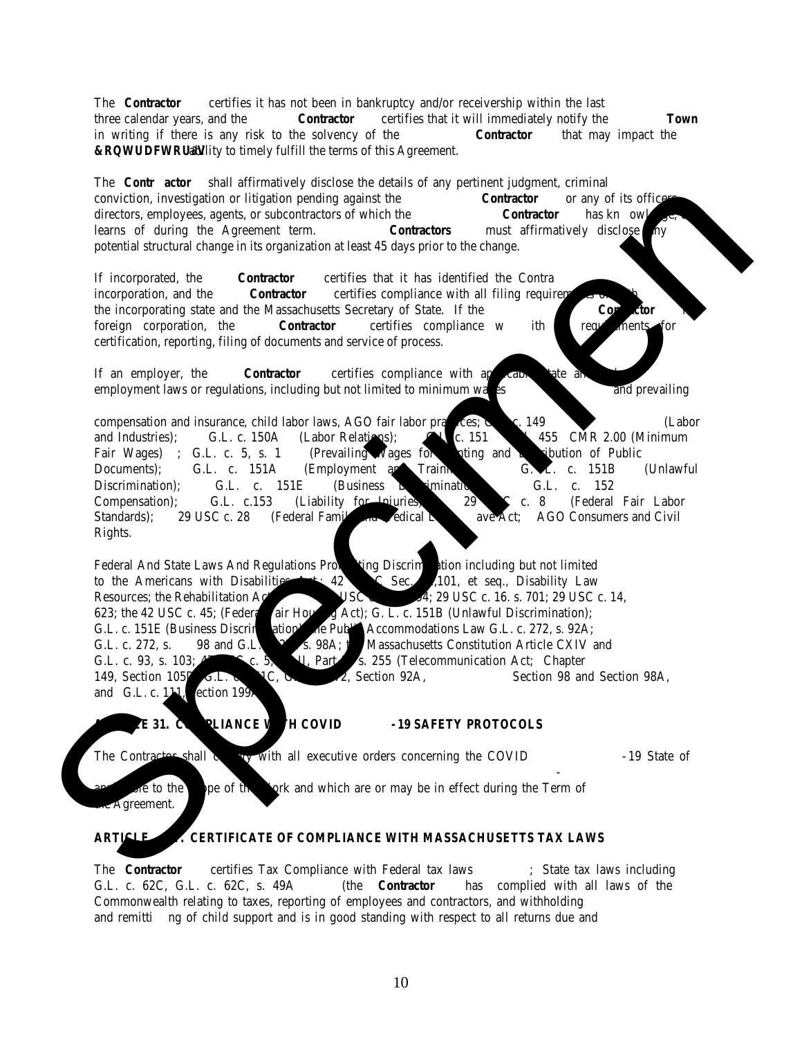



# **PARK AND RECREATION STAFF**